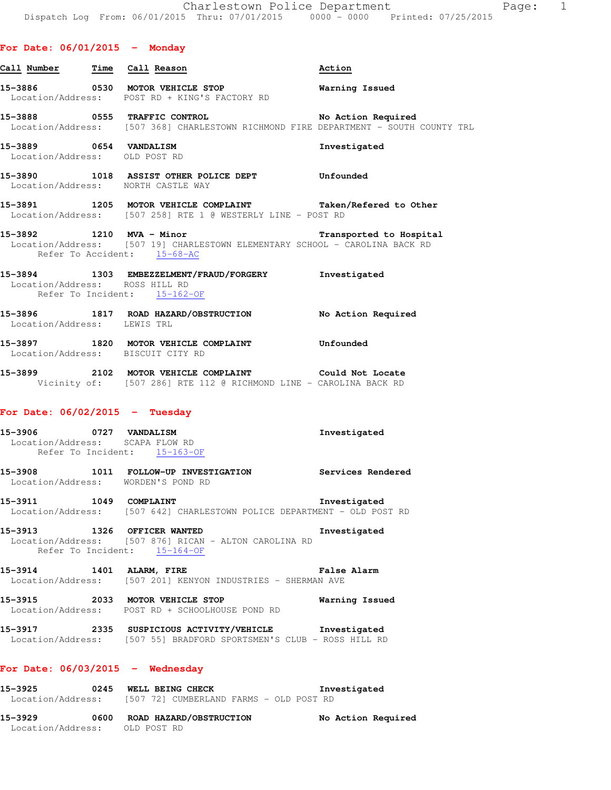# **For Date: 06/01/2015 - Monday**

| Call Number Time Call Reason                              |                                                                                                                                        | Action                  |
|-----------------------------------------------------------|----------------------------------------------------------------------------------------------------------------------------------------|-------------------------|
|                                                           | 15-3886 0530 MOTOR VEHICLE STOP<br>Location/Address: POST RD + KING'S FACTORY RD                                                       | Warning Issued          |
|                                                           | 15-3888 0555 TRAFFIC CONTROL No Action Required<br>Location/Address: [507 368] CHARLESTOWN RICHMOND FIRE DEPARTMENT - SOUTH COUNTY TRL |                         |
| 15-3889 0654 VANDALISM<br>Location/Address: OLD POST RD   |                                                                                                                                        | Investigated            |
|                                                           | 15-3890 1018 ASSIST OTHER POLICE DEPT Unfounded<br>Location/Address: NORTH CASTLE WAY                                                  |                         |
|                                                           | 15-3891 1205 MOTOR VEHICLE COMPLAINT Taken/Refered to Other<br>Location/Address: [507 258] RTE 1 @ WESTERLY LINE - POST RD             |                         |
| Refer To Accident: 15-68-AC                               | 15-3892 1210 MVA - Minor<br>Location/Address: [507 19] CHARLESTOWN ELEMENTARY SCHOOL - CAROLINA BACK RD                                | Transported to Hospital |
| Location/Address: ROSS HILL RD                            | 15-3894 1303 EMBEZZELMENT/FRAUD/FORGERY Investigated<br>Refer To Incident: 15-162-OF                                                   |                         |
| Location/Address: LEWIS TRL                               | 15-3896 1817 ROAD HAZARD/OBSTRUCTION No Action Required                                                                                |                         |
| Location/Address: BISCUIT CITY RD                         | 15-3897 1820 MOTOR VEHICLE COMPLAINT 5-3897                                                                                            |                         |
|                                                           | 15-3899 2102 MOTOR VEHICLE COMPLAINT Could Not Locate<br>Vicinity of: [507 286] RTE 112 @ RICHMOND LINE - CAROLINA BACK RD             |                         |
| For Date: $06/02/2015$ - Tuesday                          |                                                                                                                                        |                         |
| 15-3906 0727 VANDALISM<br>Location/Address: SCAPA FLOW RD | Refer To Incident: 15-163-OF                                                                                                           | Investigated            |

- **15-3908 1011 FOLLOW-UP INVESTIGATION Services Rendered**  Location/Address: WORDEN'S POND RD
- **15-3911 1049 COMPLAINT Investigated**  Location/Address: [507 642] CHARLESTOWN POLICE DEPARTMENT - OLD POST RD
- **15-3913 1326 OFFICER WANTED Investigated**  Location/Address: [507 876] RICAN - ALTON CAROLINA RD Refer To Incident: 15-164-OF
- **15-3914 1401 ALARM, FIRE False Alarm**  Location/Address: [507 201] KENYON INDUSTRIES - SHERMAN AVE
- **15-3915 2033 MOTOR VEHICLE STOP Warning Issued**  Location/Address: POST RD + SCHOOLHOUSE POND RD
- **15-3917 2335 SUSPICIOUS ACTIVITY/VEHICLE Investigated**  Location/Address: [507 55] BRADFORD SPORTSMEN'S CLUB - ROSS HILL RD

#### **For Date: 06/03/2015 - Wednesday**

| 15–3925           | 0245 |  | WELL BEING CHECK                        |  |  | Investigated |  |
|-------------------|------|--|-----------------------------------------|--|--|--------------|--|
| Location/Address: |      |  | [507 72] CUMBERLAND FARMS - OLD POST RD |  |  |              |  |

| 15-3929           | 0600 ROAD HAZARD/OBSTRUCTION | No Action Required |
|-------------------|------------------------------|--------------------|
| Location/Address: | OLD POST RD                  |                    |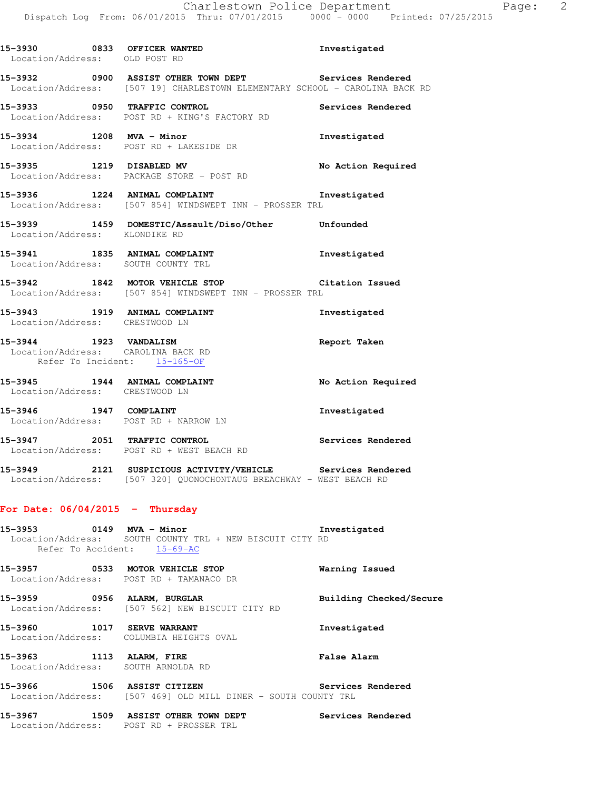| 15-3930 0833 OFFICER WANTED<br>Location/Address: OLD POST RD |                                                                                                                                      | Investigated       |
|--------------------------------------------------------------|--------------------------------------------------------------------------------------------------------------------------------------|--------------------|
|                                                              | 15-3932 0900 ASSIST OTHER TOWN DEPT Services Rendered<br>Location/Address: [507 19] CHARLESTOWN ELEMENTARY SCHOOL - CAROLINA BACK RD |                    |
|                                                              | 15-3933 0950 TRAFFIC CONTROL Services Rendered<br>Location/Address: POST RD + KING'S FACTORY RD                                      |                    |
|                                                              | 15-3934 1208 MVA - Minor<br>Location/Address: POST RD + LAKESIDE DR                                                                  | Investigated       |
| 15-3935 1219 DISABLED MV                                     | Location/Address: PACKAGE STORE - POST RD                                                                                            | No Action Required |
|                                                              | 15-3936 1224 ANIMAL COMPLAINT<br>Location/Address: [507 854] WINDSWEPT INN - PROSSER TRL                                             | Investigated       |
| Location/Address: KLONDIKE RD                                | 15-3939 1459 DOMESTIC/Assault/Diso/Other Unfounded                                                                                   |                    |
|                                                              | 15-3941 1835 ANIMAL COMPLAINT<br>Location/Address: SOUTH COUNTY TRL                                                                  | Investigated       |
|                                                              | 15-3942 1842 MOTOR VEHICLE STOP Citation Issued<br>Location/Address: [507 854] WINDSWEPT INN - PROSSER TRL                           |                    |
| Location/Address: CRESTWOOD LN                               | 15-3943 1919 ANIMAL COMPLAINT                                                                                                        | Investigated       |
|                                                              | 15-3944 1923 VANDALISM<br>Location/Address: CAROLINA BACK RD<br>Refer To Incident: 15-165-OF                                         | Report Taken       |
| Location/Address: CRESTWOOD LN                               | 15-3945 1944 ANIMAL COMPLAINT                                                                                                        | No Action Required |
|                                                              | 15-3946 1947 COMPLAINT<br>Location/Address: POST RD + NARROW LN                                                                      | Investigated       |
|                                                              | 15-3947 2051 TRAFFIC CONTROL<br>Location/Address: POST RD + WEST BEACH RD                                                            | Services Rendered  |
|                                                              | 15-3949 2121 SUSPICIOUS ACTIVITY/VEHICLE<br>Location/Address: [507 320] QUONOCHONTAUG BREACHWAY - WEST BEACH RD                      | Services Rendered  |
| For Date: $06/04/2015$ - Thursday                            |                                                                                                                                      |                    |
| 15-3953 0149 MVA - Minor                                     |                                                                                                                                      | Investigated       |

 Location/Address: SOUTH COUNTY TRL + NEW BISCUIT CITY RD Refer To Accident: 15-69-AC

**15-3957 0533 MOTOR VEHICLE STOP Warning Issued**  Location/Address: POST RD + TAMANACO DR **15-3959 0956 ALARM, BURGLAR Building Checked/Secure**  Location/Address: [507 562] NEW BISCUIT CITY RD **15-3960 1017 SERVE WARRANT Investigated**  Location/Address: COLUMBIA HEIGHTS OVAL **15-3963 1113 ALARM, FIRE False Alarm**  Location/Address: SOUTH ARNOLDA RD

**15-3966 1506 ASSIST CITIZEN Services Rendered**  Location/Address: [507 469] OLD MILL DINER - SOUTH COUNTY TRL

**15-3967 1509 ASSIST OTHER TOWN DEPT Services Rendered**  Location/Address: POST RD + PROSSER TRL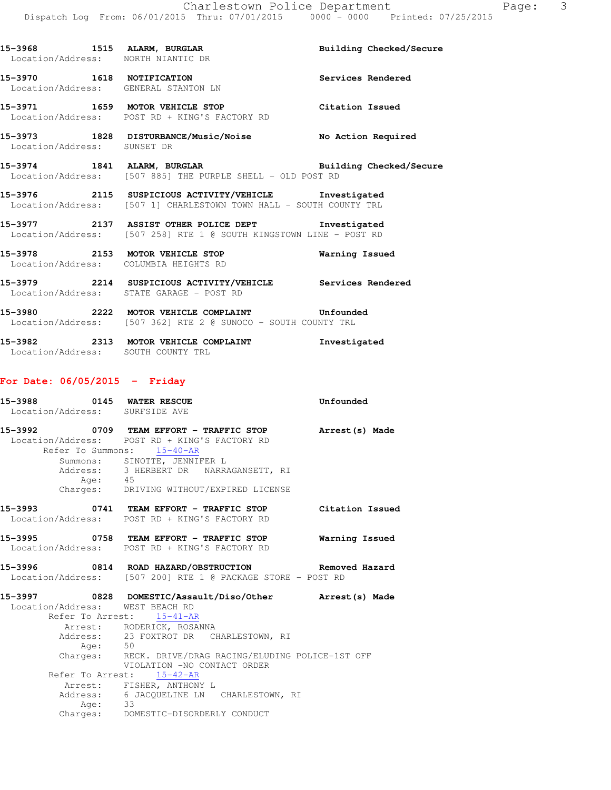|                             | 15-3968 1515 ALARM, BURGLAR BUIlding Checked/Secure<br>Location/Address: NORTH NIANTIC DP<br>Location/Address: NORTH NIANTIC DR  |                   |
|-----------------------------|----------------------------------------------------------------------------------------------------------------------------------|-------------------|
|                             | 15-3970 1618 NOTIFICATION<br>Location/Address: GENERAL STANTON LN                                                                | Services Rendered |
|                             | 15-3971 1659 MOTOR VEHICLE STOP Citation Issued<br>Location/Address: POST RD + KING'S FACTORY RD                                 |                   |
| Location/Address: SUNSET DR | 15-3973 1828 DISTURBANCE/Music/Noise No Action Required                                                                          |                   |
|                             | 15-3974 1841 ALARM, BURGLAR <b>BURGLAR</b> Building Checked/Secure<br>Location/Address: [507 885] THE PURPLE SHELL - OLD POST RD |                   |
|                             | 15-3976 2115 SUSPICIOUS ACTIVITY/VEHICLE Investigated<br>Location/Address: [507 1] CHARLESTOWN TOWN HALL - SOUTH COUNTY TRL      |                   |
|                             | 15-3977 2137 ASSIST OTHER POLICE DEPT Investigated<br>Location/Address: [507 258] RTE 1 @ SOUTH KINGSTOWN LINE - POST RD         |                   |
|                             | 15-3978 2153 MOTOR VEHICLE STOP <b>Warning Issued</b><br>Location/Address: COLUMBIA HEIGHTS RD                                   |                   |
|                             | 15-3979 2214 SUSPICIOUS ACTIVITY/VEHICLE Services Rendered<br>Location/Address: STATE GARAGE - POST RD                           |                   |
|                             | Location/Address: [507 362] RTE 2 @ SUNOCO - SOUTH COUNTY TRL                                                                    |                   |
|                             | 15-3982 2313 MOTOR VEHICLE COMPLAINT                                                                                             | Investigated      |

# **For Date: 06/05/2015 - Friday**

Location/Address: SOUTH COUNTY TRL

|         | 15-3988 0145 WATER RESCUE<br>Location/Address: SURFSIDE AVE                                                                                                                                                                                                                              | Unfounded      |
|---------|------------------------------------------------------------------------------------------------------------------------------------------------------------------------------------------------------------------------------------------------------------------------------------------|----------------|
| Age: 45 | 15-3992 0709 TEAM EFFORT - TRAFFIC STOP Arrest (s) Made<br>Location/Address: POST RD + KING'S FACTORY RD<br>Refer To Summons: 15-40-AR<br>Summons: SINOTTE, JENNIFER L<br>Address: 3 HERBERT DR NARRAGANSETT, RI<br>Charges: DRIVING WITHOUT/EXPIRED LICENSE                             |                |
|         | 15-3993 0741 TEAM EFFORT - TRAFFIC STOP Citation Issued<br>Location/Address: POST RD + KING'S FACTORY RD                                                                                                                                                                                 |                |
|         | Location/Address: POST RD + KING'S FACTORY RD                                                                                                                                                                                                                                            | Warning Issued |
|         | Location/Address: [507 200] RTE 1 @ PACKAGE STORE - POST RD                                                                                                                                                                                                                              |                |
| Age: 50 | 15-3997 0828 DOMESTIC/Assault/Diso/Other Arrest(s) Made<br>Location/Address: WEST BEACH RD<br>Refer To Arrest: 15-41-AR<br>Arrest: RODERICK, ROSANNA<br>Address: 23 FOXTROT DR CHARLESTOWN, RI<br>Charges: RECK. DRIVE/DRAG RACING/ELUDING POLICE-1ST OFF<br>VIOLATION -NO CONTACT ORDER |                |
| Age: 33 | Refer To Arrest: 15-42-AR<br>Arrest: FISHER, ANTHONY L<br>Address: 6 JACQUELINE LN CHARLESTOWN, RI<br>Charges: DOMESTIC-DISORDERLY CONDUCT                                                                                                                                               |                |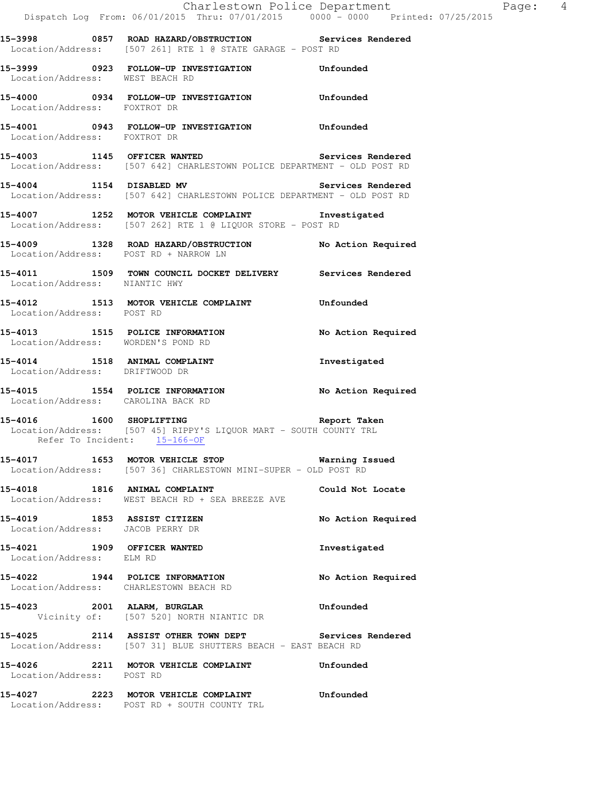|                                    | Dispatch Log From: 06/01/2015 Thru: 07/01/2015 0000 - 0000 Printed: 07/25/2015                                                | Charlestown Police Department Fage: 4 |  |
|------------------------------------|-------------------------------------------------------------------------------------------------------------------------------|---------------------------------------|--|
|                                    | 15-3998 6857 ROAD HAZARD/OBSTRUCTION Services Rendered<br>Location/Address: [507 261] RTE 1 @ STATE GARAGE - POST RD          |                                       |  |
| Location/Address: WEST BEACH RD    | 15-3999 0923 FOLLOW-UP INVESTIGATION Unfounded                                                                                |                                       |  |
| Location/Address: FOXTROT DR       | 15-4000 0934 FOLLOW-UP INVESTIGATION Unfounded                                                                                |                                       |  |
| Location/Address: FOXTROT DR       | 15-4001 0943 FOLLOW-UP INVESTIGATION Unfounded                                                                                |                                       |  |
|                                    | 15-4003 1145 OFFICER WANTED Services Rendered<br>Location/Address: [507 642] CHARLESTOWN POLICE DEPARTMENT - OLD POST RD      |                                       |  |
|                                    | 15-4004 1154 DISABLED MV Services Rendered<br>Location/Address: [507 642] CHARLESTOWN POLICE DEPARTMENT - OLD POST RD         |                                       |  |
|                                    | 15-4007 1252 MOTOR VEHICLE COMPLAINT 1nvestigated<br>Location/Address: [507 262] RTE 1 @ LIQUOR STORE - POST RD               |                                       |  |
|                                    | 15-4009 1328 ROAD HAZARD/OBSTRUCTION No Action Required<br>Location/Address: POST RD + NARROW LN                              |                                       |  |
| Location/Address: NIANTIC HWY      | 15-4011 1509 TOWN COUNCIL DOCKET DELIVERY Services Rendered                                                                   |                                       |  |
| Location/Address: POST RD          | 15-4012 1513 MOTOR VEHICLE COMPLAINT Unfounded                                                                                |                                       |  |
| Location/Address: WORDEN'S POND RD | 15-4013 1515 POLICE INFORMATION                                                                                               | No Action Required                    |  |
| Location/Address: DRIFTWOOD DR     | 15-4014 1518 ANIMAL COMPLAINT                                                                                                 | Investigated                          |  |
| Location/Address: CAROLINA BACK RD | 15-4015 1554 POLICE INFORMATION                                                                                               | No Action Required                    |  |
|                                    | 15-4016 1600 SHOPLIFTING<br>Location/Address: [507 45] RIPPY'S LIQUOR MART - SOUTH COUNTY TRL<br>Refer To Incident: 15-166-OF | Report Taken                          |  |
|                                    | 15-4017 1653 MOTOR VEHICLE STOP 60 Warning Issued<br>Location/Address: [507 36] CHARLESTOWN MINI-SUPER - OLD POST RD          |                                       |  |
|                                    | 15-4018 1816 ANIMAL COMPLAINT<br>Location/Address: WEST BEACH RD + SEA BREEZE AVE                                             | Could Not Locate                      |  |
| Location/Address: JACOB PERRY DR   | 15-4019 1853 ASSIST CITIZEN                                                                                                   | No Action Required                    |  |
| Location/Address: ELM RD           | 15-4021 1909 OFFICER WANTED                                                                                                   | Investigated                          |  |
|                                    | 15-4022 1944 POLICE INFORMATION<br>Location/Address: CHARLESTOWN BEACH RD                                                     | No Action Required                    |  |
|                                    | 15-4023 2001 ALARM, BURGLAR<br>Vicinity of: [507 520] NORTH NIANTIC DR                                                        | Unfounded                             |  |
|                                    | 15-4025 2114 ASSIST OTHER TOWN DEPT Services Rendered<br>Location/Address: [507 31] BLUE SHUTTERS BEACH - EAST BEACH RD       |                                       |  |
| Location/Address: POST RD          | 15-4026 2211 MOTOR VEHICLE COMPLAINT                                                                                          | Unfounded                             |  |
|                                    | 15-4027 2223 MOTOR VEHICLE COMPLAINT<br>Location/Address: POST RD + SOUTH COUNTY TRL                                          | Unfounded                             |  |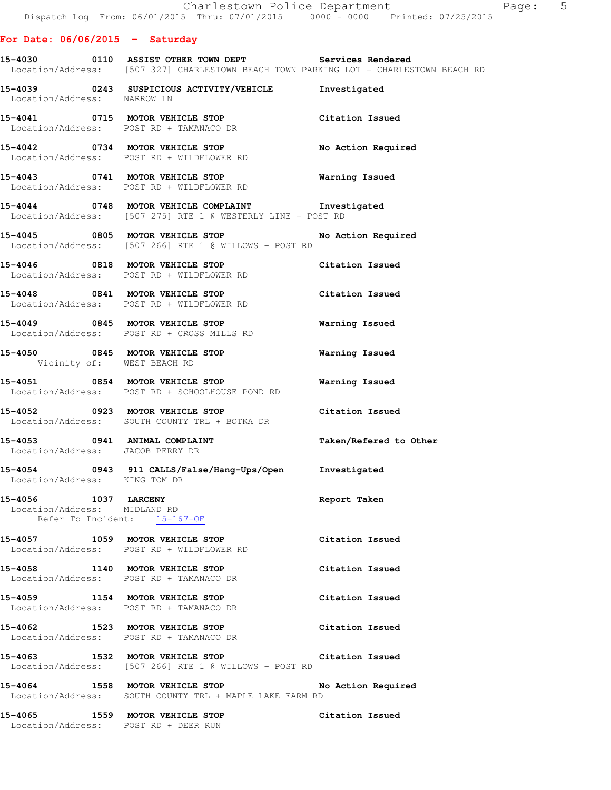### **For Date: 06/06/2015 - Saturday**

**15-4030 0110 ASSIST OTHER TOWN DEPT Services Rendered**  Location/Address: [507 327] CHARLESTOWN BEACH TOWN PARKING LOT - CHARLESTOWN BEACH RD

| Location/Address: NARROW LN                          | 15-4039 0243 SUSPICIOUS ACTIVITY/VEHICLE Investigated                                                            |                        |
|------------------------------------------------------|------------------------------------------------------------------------------------------------------------------|------------------------|
|                                                      | 15-4041 0715 MOTOR VEHICLE STOP<br>Location/Address: POST RD + TAMANACO DR                                       | Citation Issued        |
|                                                      | 15-4042 0734 MOTOR VEHICLE STOP<br>Location/Address: POST RD + WILDFLOWER RD                                     | No Action Required     |
|                                                      | 15-4043 0741 MOTOR VEHICLE STOP Warning Issued<br>Location/Address: POST RD + WILDFLOWER RD                      |                        |
|                                                      | 15-4044 0748 MOTOR VEHICLE COMPLAINT Investigated<br>Location/Address: [507 275] RTE 1 @ WESTERLY LINE - POST RD |                        |
|                                                      | 15-4045 0805 MOTOR VEHICLE STOP<br>Location/Address: [507 266] RTE 1 @ WILLOWS - POST RD                         | No Action Required     |
|                                                      | 15-4046 0818 MOTOR VEHICLE STOP<br>Location/Address: POST RD + WILDFLOWER RD                                     | Citation Issued        |
|                                                      | 15-4048 0841 MOTOR VEHICLE STOP Citation Issued<br>Location/Address: POST RD + WILDFLOWER RD                     |                        |
|                                                      | 15-4049 0845 MOTOR VEHICLE STOP<br>Location/Address: POST RD + CROSS MILLS RD                                    | <b>Warning Issued</b>  |
|                                                      | 15-4050 0845 MOTOR VEHICLE STOP 6 Warning Issued<br>Vicinity of: WEST BEACH RD                                   |                        |
|                                                      | 15-4051 0854 MOTOR VEHICLE STOP<br>Location/Address: POST RD + SCHOOLHOUSE POND RD                               | Warning Issued         |
|                                                      | 15-4052 0923 MOTOR VEHICLE STOP<br>Location/Address: SOUTH COUNTY TRL + BOTKA DR                                 | Citation Issued        |
| Location/Address: JACOB PERRY DR                     | 15-4053 0941 ANIMAL COMPLAINT                                                                                    | Taken/Refered to Other |
| Location/Address: KING TOM DR                        | 15-4054 0943 911 CALLS/False/Hang-Ups/Open Investigated                                                          |                        |
| 15-4056 1037 LARCENY<br>Location/Address: MIDLAND RD | Refer To Incident: 15-167-OF                                                                                     | Report Taken           |
|                                                      | 15-4057 1059 MOTOR VEHICLE STOP<br>Location/Address: POST RD + WILDFLOWER RD                                     | Citation Issued        |
|                                                      | 15-4058 1140 MOTOR VEHICLE STOP<br>Location/Address: POST RD + TAMANACO DR                                       | Citation Issued        |
|                                                      | 15-4059 1154 MOTOR VEHICLE STOP<br>Location/Address: POST RD + TAMANACO DR                                       | Citation Issued        |
|                                                      | 15-4062 1523 MOTOR VEHICLE STOP<br>Location/Address: POST RD + TAMANACO DR                                       | Citation Issued        |
|                                                      | 15-4063 1532 MOTOR VEHICLE STOP<br>Location/Address: [507 266] RTE 1 @ WILLOWS - POST RD                         | Citation Issued        |
| 15-4064                                              | 1558 MOTOR VEHICLE STOP<br>Location/Address: SOUTH COUNTY TRL + MAPLE LAKE FARM RD                               | No Action Required     |
|                                                      | 15-4065 1559 MOTOR VEHICLE STOP<br>Location/Address: POST RD + DEER RUN                                          | Citation Issued        |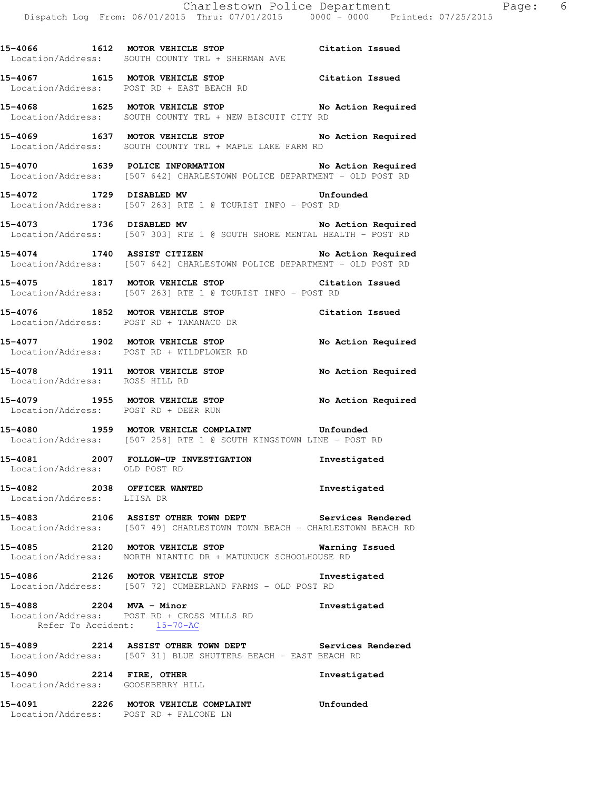**15-4066 1612 MOTOR VEHICLE STOP Citation Issued** 

**15-4067 1615 MOTOR VEHICLE STOP Citation Issued** 

Location/Address: SOUTH COUNTY TRL + SHERMAN AVE

 Location/Address: POST RD + EAST BEACH RD **15-4068 1625 MOTOR VEHICLE STOP No Action Required**  Location/Address: SOUTH COUNTY TRL + NEW BISCUIT CITY RD **15-4069 1637 MOTOR VEHICLE STOP No Action Required**  Location/Address: SOUTH COUNTY TRL + MAPLE LAKE FARM RD **15-4070 1639 POLICE INFORMATION No Action Required**  Location/Address: [507 642] CHARLESTOWN POLICE DEPARTMENT - OLD POST RD **15-4072 1729 DISABLED MV Unfounded**  Location/Address: [507 263] RTE 1 @ TOURIST INFO - POST RD **15-4073 1736 DISABLED MV No Action Required**  Location/Address: [507 303] RTE 1 @ SOUTH SHORE MENTAL HEALTH - POST RD **15-4074 1740 ASSIST CITIZEN No Action Required**  Location/Address: [507 642] CHARLESTOWN POLICE DEPARTMENT - OLD POST RD **15-4075 1817 MOTOR VEHICLE STOP Citation Issued**  Location/Address: [507 263] RTE 1 @ TOURIST INFO - POST RD **15-4076 1852 MOTOR VEHICLE STOP Citation Issued**  Location/Address: POST RD + TAMANACO DR **15-4077 1902 MOTOR VEHICLE STOP No Action Required**  Location/Address: POST RD + WILDFLOWER RD **15-4078 1911 MOTOR VEHICLE STOP No Action Required**  Location/Address: ROSS HILL RD **15-4079 1955 MOTOR VEHICLE STOP No Action Required**  Location/Address: POST RD + DEER RUN **15-4080 1959 MOTOR VEHICLE COMPLAINT Unfounded**  Location/Address: [507 258] RTE 1 @ SOUTH KINGSTOWN LINE - POST RD **15-4081 2007 FOLLOW-UP INVESTIGATION Investigated**  Location/Address: OLD POST RD **15-4082 2038 OFFICER WANTED Investigated**  Location/Address: LIISA DR **15-4083 2106 ASSIST OTHER TOWN DEPT Services Rendered**  Location/Address: [507 49] CHARLESTOWN TOWN BEACH - CHARLESTOWN BEACH RD **15-4085 2120 MOTOR VEHICLE STOP Warning Issued**  Location/Address: NORTH NIANTIC DR + MATUNUCK SCHOOLHOUSE RD **15-4086 2126 MOTOR VEHICLE STOP Investigated**  Location/Address: [507 72] CUMBERLAND FARMS - OLD POST RD

**15-4088 2204 MVA - Minor Investigated**  Location/Address: POST RD + CROSS MILLS RD Refer To Accident:  $\frac{15-70-AC}{2}$ 

**15-4089 2214 ASSIST OTHER TOWN DEPT Services Rendered**  Location/Address: [507 31] BLUE SHUTTERS BEACH - EAST BEACH RD

**15-4090 2214 FIRE, OTHER Investigated**  Location/Address: GOOSEBERRY HILL

**15-4091 2226 MOTOR VEHICLE COMPLAINT Unfounded**  Location/Address: POST RD + FALCONE LN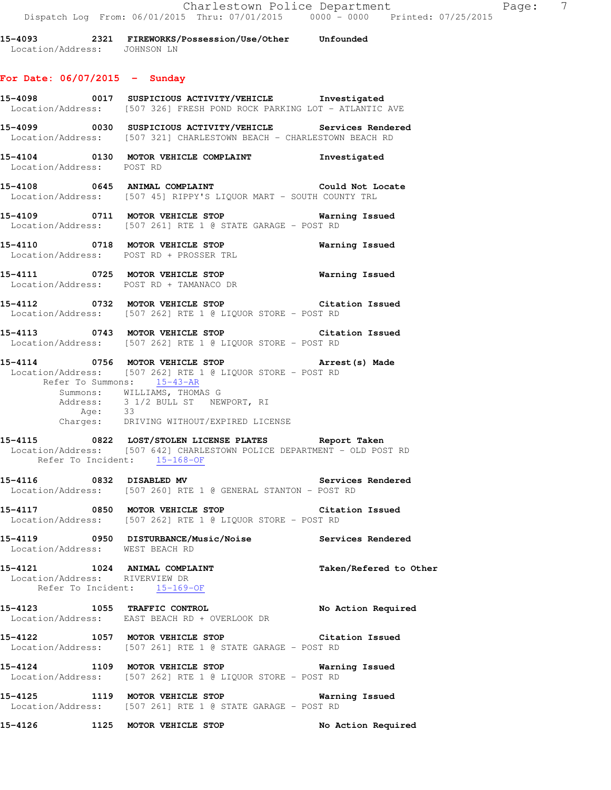| 2321<br>15-4093   | FIREWORKS/Possession/Use/Other | Unfounded |
|-------------------|--------------------------------|-----------|
| Location/Address: | JOHNSON LN                     |           |

#### **For Date: 06/07/2015 - Sunday**

- **15-4098 0017 SUSPICIOUS ACTIVITY/VEHICLE Investigated**  Location/Address: [507 326] FRESH POND ROCK PARKING LOT - ATLANTIC AVE **15-4099 0030 SUSPICIOUS ACTIVITY/VEHICLE Services Rendered**  Location/Address: [507 321] CHARLESTOWN BEACH - CHARLESTOWN BEACH RD **15-4104 0130 MOTOR VEHICLE COMPLAINT Investigated**  Location/Address: POST RD **15-4108 0645 ANIMAL COMPLAINT Could Not Locate**  Location/Address: [507 45] RIPPY'S LIQUOR MART - SOUTH COUNTY TRL **15-4109 0711 MOTOR VEHICLE STOP Warning Issued**  Location/Address: [507 261] RTE 1 @ STATE GARAGE - POST RD **15-4110 0718 MOTOR VEHICLE STOP Warning Issued**  Location/Address: POST RD + PROSSER TRL **15-4111 0725 MOTOR VEHICLE STOP Warning Issued**  Location/Address: POST RD + TAMANACO DR **15-4112 0732 MOTOR VEHICLE STOP Citation Issued**  Location/Address: [507 262] RTE 1 @ LIQUOR STORE - POST RD **15-4113 0743 MOTOR VEHICLE STOP Citation Issued**  Location/Address: [507 262] RTE 1 @ LIQUOR STORE - POST RD **15-4114 0756 MOTOR VEHICLE STOP Arrest(s) Made**  Location/Address: [507 262] RTE 1 @ LIQUOR STORE - POST RD Refer To Summons: 15-43-AR Summons: WILLIAMS, THOMAS G Address: 3 1/2 BULL ST NEWPORT, RI Age: 33 Charges: DRIVING WITHOUT/EXPIRED LICENSE **15-4115 0822 LOST/STOLEN LICENSE PLATES Report Taken**  Location/Address: [507 642] CHARLESTOWN POLICE DEPARTMENT - OLD POST RD Refer To Incident: 15-168-OF 15-4116 **0832 DISABLED MV** Services Rendered Location/Address: [507 260] RTE 1 @ GENERAL STANTON - POST RD **15-4117 0850 MOTOR VEHICLE STOP Citation Issued**  Location/Address: [507 262] RTE 1 @ LIQUOR STORE - POST RD **15-4119 0950 DISTURBANCE/Music/Noise Services Rendered**  Location/Address: WEST BEACH RD 15-4121 1024 ANIMAL COMPLAINT **Taken/Refered to Other**  Location/Address: RIVERVIEW DR Refer To Incident: 15-169-OF **15-4123 1055 TRAFFIC CONTROL No Action Required**  Location/Address: EAST BEACH RD + OVERLOOK DR **15-4122 1057 MOTOR VEHICLE STOP Citation Issued**  Location/Address: [507 261] RTE 1 @ STATE GARAGE - POST RD **15-4124 1109 MOTOR VEHICLE STOP Warning Issued**  Location/Address: [507 262] RTE 1 @ LIQUOR STORE - POST RD
- **15-4125 1119 MOTOR VEHICLE STOP Warning Issued**  Location/Address: [507 261] RTE 1 @ STATE GARAGE - POST RD
- **15-4126 1125 MOTOR VEHICLE STOP No Action Required**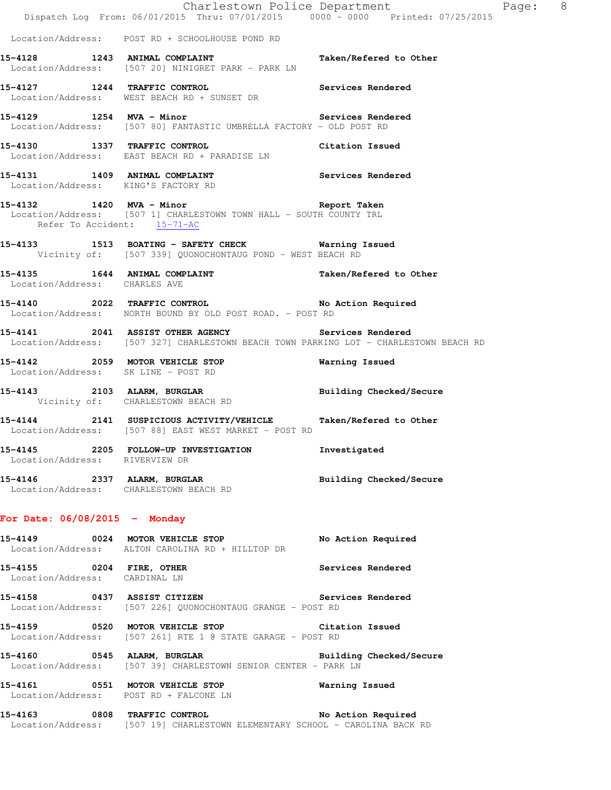|                                        | Dispatch Log From: 06/01/2015 Thru: 07/01/2015 0000 - 0000 Printed: 07/25/2015                                                              | Charlestown Police Department The Rage: 8 |  |
|----------------------------------------|---------------------------------------------------------------------------------------------------------------------------------------------|-------------------------------------------|--|
|                                        | Location/Address: POST RD + SCHOOLHOUSE POND RD                                                                                             |                                           |  |
|                                        | 15-4128 1243 ANIMAL COMPLAINT Taken/Refered to Other<br>Location/Address: [507 20] NINIGRET PARK - PARK LN                                  |                                           |  |
|                                        | 15-4127 1244 TRAFFIC CONTROL 15-4127 Services Rendered<br>Location/Address: WEST BEACH RD + SUNSET DR                                       |                                           |  |
|                                        | 15-4129 1254 MVA - Minor<br>Location/Address: [507 80] FANTASTIC UMBRELLA FACTORY - OLD POST RD                                             |                                           |  |
|                                        | 15-4130 1337 TRAFFIC CONTROL CONTROL Citation Issued<br>Location/Address: EAST BEACH RD + PARADISE LN                                       |                                           |  |
|                                        | 15-4131 1409 ANIMAL COMPLAINT Services Rendered Location/Address: KING'S FACTORY RD                                                         |                                           |  |
| Refer To Accident: 15-71-AC            | 15-4132 1420 MVA - Minor 15-4132<br>Location/Address: [507 1] CHARLESTOWN TOWN HALL - SOUTH COUNTY TRL                                      |                                           |  |
|                                        | 15-4133 1513 BOATING - SAFETY CHECK Warning Issued<br>Vicinity of: [507 339] QUONOCHONTAUG POND - WEST BEACH RD                             |                                           |  |
| Location/Address: CHARLES AVE          | 15-4135 1644 ANIMAL COMPLAINT Taken/Refered to Other                                                                                        |                                           |  |
|                                        | 15-4140 2022 TRAFFIC CONTROL No Action Required<br>Location/Address: NORTH BOUND BY OLD POST ROAD. - POST RD                                |                                           |  |
|                                        | 15-4141 2041 ASSIST OTHER AGENCY Services Rendered<br>Location/Address: [507 327] CHARLESTOWN BEACH TOWN PARKING LOT - CHARLESTOWN BEACH RD |                                           |  |
| Location/Address: SK LINE - POST RD    | 15-4142 2059 MOTOR VEHICLE STOP                                                                                                             | Warning Issued                            |  |
|                                        | 15-4143 2103 ALARM, BURGLAR BURGLAR Building Checked/Secure Vicinity of: CHARLESTOWN BEACH RD                                               |                                           |  |
|                                        | 15-4144 2141 SUSPICIOUS ACTIVITY/VEHICLE Taken/Refered to Other<br>Location/Address: [507 88] EAST WEST MARKET - POST RD                    |                                           |  |
| Location/Address: RIVERVIEW DR         | 15-4145 2205 FOLLOW-UP INVESTIGATION                                                                                                        | Investigated                              |  |
| Location/Address: CHARLESTOWN BEACH RD | 15-4146 2337 ALARM, BURGLAR                                                                                                                 | Building Checked/Secure                   |  |
| For Date: $06/08/2015$ - Monday        |                                                                                                                                             |                                           |  |
|                                        | 15-4149 0024 MOTOR VEHICLE STOP<br>Location/Address: ALTON CAROLINA RD + HILLTOP DR                                                         | No Action Required                        |  |
| Location/Address: CARDINAL LN          | 15-4155 0204 FIRE, OTHER                                                                                                                    | Services Rendered                         |  |
|                                        | 15-4158 0437 ASSIST CITIZEN<br>Location/Address: [507 226] QUONOCHONTAUG GRANGE - POST RD                                                   | Services Rendered                         |  |
|                                        | 15-4159 0520 MOTOR VEHICLE STOP Citation Issued<br>Location/Address: [507 261] RTE 1 @ STATE GARAGE - POST RD                               |                                           |  |
|                                        | Location/Address: [507 39] CHARLESTOWN SENIOR CENTER - PARK LN                                                                              |                                           |  |
|                                        | 15-4161 0551 MOTOR VEHICLE STOP<br>Location/Address: POST RD + FALCONE LN                                                                   | Warning Issued                            |  |
|                                        | 15-4163 0808 TRAFFIC CONTROL<br>Location/Address: [507 19] CHARLESTOWN ELEMENTARY SCHOOL - CAROLINA BACK RD                                 | No Action Required                        |  |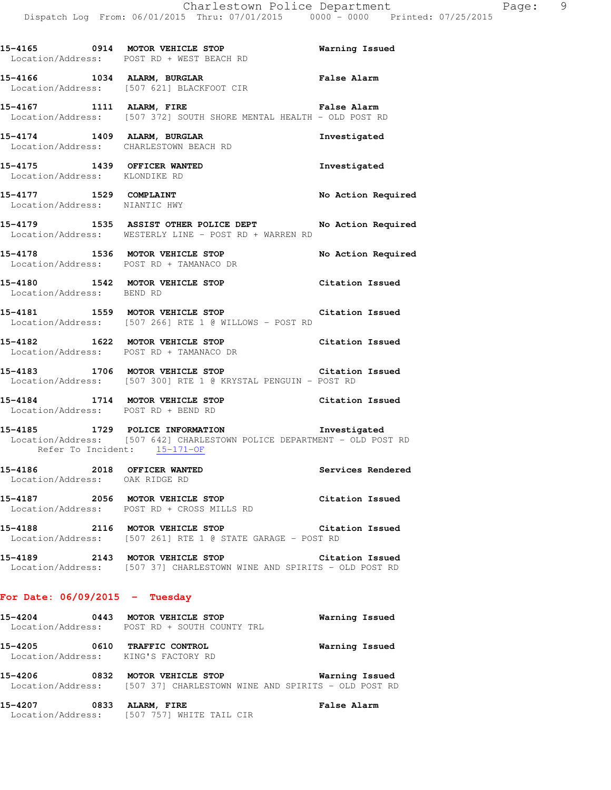|                                                               | Location/Address: POST RD + WEST BEACH RD                                                                                                               |                    |
|---------------------------------------------------------------|---------------------------------------------------------------------------------------------------------------------------------------------------------|--------------------|
|                                                               | 15-4166 1034 ALARM, BURGLAR<br>Location/Address: [507 621] BLACKFOOT CIR                                                                                | <b>False Alarm</b> |
|                                                               | 15-4167 1111 ALARM, FIRE <b>12.12 False Alarm</b><br>Location/Address: [507 372] SOUTH SHORE MENTAL HEALTH - OLD POST RD                                |                    |
| 15-4174 1409 ALARM, BURGLAR                                   | Location/Address: CHARLESTOWN BEACH RD                                                                                                                  | Investigated       |
| 15-4175 1439 OFFICER WANTED<br>Location/Address: KLONDIKE RD  |                                                                                                                                                         | Investigated       |
| 15-4177 1529 COMPLAINT<br>Location/Address: NIANTIC HWY       |                                                                                                                                                         | No Action Required |
|                                                               | 15-4179 1535 ASSIST OTHER POLICE DEPT No Action Required<br>Location/Address: WESTERLY LINE - POST RD + WARREN RD                                       |                    |
|                                                               | 15-4178 1536 MOTOR VEHICLE STOP<br>Location/Address: POST RD + TAMANACO DR                                                                              | No Action Required |
| Location/Address: BEND RD                                     | 15-4180 1542 MOTOR VEHICLE STOP                                                                                                                         | Citation Issued    |
|                                                               | 15-4181 1559 MOTOR VEHICLE STOP 15-4181<br>Location/Address: [507 266] RTE 1 @ WILLOWS - POST RD                                                        |                    |
|                                                               | 15-4182 1622 MOTOR VEHICLE STOP Citation Issued<br>Location/Address: POST RD + TAMANACO DR                                                              |                    |
|                                                               | 15-4183 1706 MOTOR VEHICLE STOP 15-4183<br>Location/Address: [507 300] RTE 1 @ KRYSTAL PENGUIN - POST RD                                                |                    |
|                                                               | 15-4184 1714 MOTOR VEHICLE STOP Citation Issued<br>Location/Address: POST RD + BEND RD                                                                  |                    |
|                                                               | 15-4185 1729 POLICE INFORMATION 1nvestigated<br>Location/Address: [507 642] CHARLESTOWN POLICE DEPARTMENT - OLD POST RD<br>Refer To Incident: 15-171-OF |                    |
| 15-4186 2018 OFFICER WANTED<br>Location/Address: OAK RIDGE RD |                                                                                                                                                         | Services Rendered  |
| 15-4187<br>Location/Address:                                  | 2056 MOTOR VEHICLE STOP<br>POST RD + CROSS MILLS RD                                                                                                     | Citation Issued    |
| 15-4188                                                       | 2116 MOTOR VEHICLE STOP<br>Location/Address: [507 261] RTE 1 @ STATE GARAGE - POST RD                                                                   | Citation Issued    |
|                                                               | 15-4189 2143 MOTOR VEHICLE STOP<br>Location/Address: [507 37] CHARLESTOWN WINE AND SPIRITS - OLD POST RD                                                | Citation Issued    |

### **For Date: 06/09/2015 - Tuesday**

| 15-4204<br>Location/Address: | 0443        | MOTOR VEHICLE STOP<br>POST RD + SOUTH COUNTY TRL                                            | Warning Issued |
|------------------------------|-------------|---------------------------------------------------------------------------------------------|----------------|
| 15-4205                      | 0610        | TRAFFIC CONTROL<br>Location/Address: KING'S FACTORY RD                                      | Warning Issued |
| 15-4206                      | 0832        | MOTOR VEHICLE STOP<br>Location/Address: [507 37] CHARLESTOWN WINE AND SPIRITS - OLD POST RD | Warning Issued |
| 15-4207                      | <b>UBJJ</b> | <b>ATADM</b><br>고고고교                                                                        | Falco Alarm    |

**15-4207 0833 ALARM, FIRE False Alarm**  Location/Address: [507 757] WHITE TAIL CIR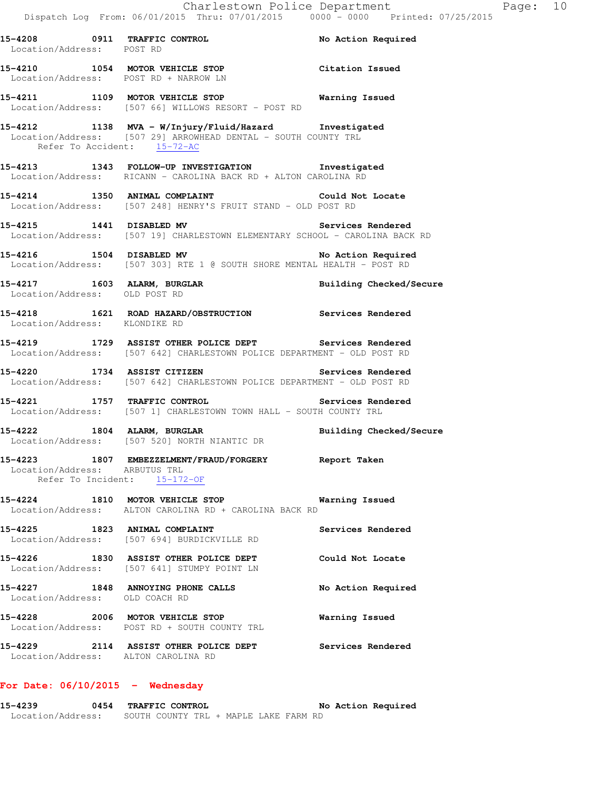Location/Address: POST RD **15-4210 1054 MOTOR VEHICLE STOP Citation Issued**  Location/Address: POST RD + NARROW LN **15-4211 1109 MOTOR VEHICLE STOP Warning Issued**  Location/Address: [507 66] WILLOWS RESORT - POST RD

**15-4212 1138 MVA - W/Injury/Fluid/Hazard Investigated**  Location/Address: [507 29] ARROWHEAD DENTAL - SOUTH COUNTY TRL Refer To Accident: 15-72-AC

**15-4213 1343 FOLLOW-UP INVESTIGATION Investigated**  Location/Address: RICANN - CAROLINA BACK RD + ALTON CAROLINA RD

**15-4214 1350 ANIMAL COMPLAINT Could Not Locate**  Location/Address: [507 248] HENRY'S FRUIT STAND - OLD POST RD

**15-4215 1441 DISABLED MV Services Rendered**  Location/Address: [507 19] CHARLESTOWN ELEMENTARY SCHOOL - CAROLINA BACK RD

**15-4216 1504 DISABLED MV No Action Required**  Location/Address: [507 303] RTE 1 @ SOUTH SHORE MENTAL HEALTH - POST RD

**15-4217 1603 ALARM, BURGLAR Building Checked/Secure**  Location/Address: OLD POST RD

**15-4218 1621 ROAD HAZARD/OBSTRUCTION Services Rendered**  Location/Address: KLONDIKE RD

**15-4219 1729 ASSIST OTHER POLICE DEPT Services Rendered**  Location/Address: [507 642] CHARLESTOWN POLICE DEPARTMENT - OLD POST RD

**15-4220 1734 ASSIST CITIZEN Services Rendered**  Location/Address: [507 642] CHARLESTOWN POLICE DEPARTMENT - OLD POST RD

**15-4221 1757 TRAFFIC CONTROL Services Rendered**  Location/Address: [507 1] CHARLESTOWN TOWN HALL - SOUTH COUNTY TRL

**15-4222 1804 ALARM, BURGLAR Building Checked/Secure**  Location/Address: [507 520] NORTH NIANTIC DR

**15-4223 1807 EMBEZZELMENT/FRAUD/FORGERY Report Taken**  Location/Address: ARBUTUS TRL Refer To Incident: 15-172-OF

**15-4224 1810 MOTOR VEHICLE STOP Warning Issued**  Location/Address: ALTON CAROLINA RD + CAROLINA BACK RD

15-4225 1823 ANIMAL COMPLAINT **Services Rendered** Location/Address: [507 694] BURDICKVILLE RD

**15-4226 1830 ASSIST OTHER POLICE DEPT Could Not Locate**  Location/Address: [507 641] STUMPY POINT LN **15-4227 1848 ANNOYING PHONE CALLS No Action Required** 

 Location/Address: OLD COACH RD **15-4228 2006 MOTOR VEHICLE STOP Warning Issued**  Location/Address: POST RD + SOUTH COUNTY TRL

**15-4229 2114 ASSIST OTHER POLICE DEPT Services Rendered**  Location/Address: ALTON CAROLINA RD

#### **For Date: 06/10/2015 - Wednesday**

**15-4239 0454 TRAFFIC CONTROL No Action Required**  Location/Address: SOUTH COUNTY TRL + MAPLE LAKE FARM RD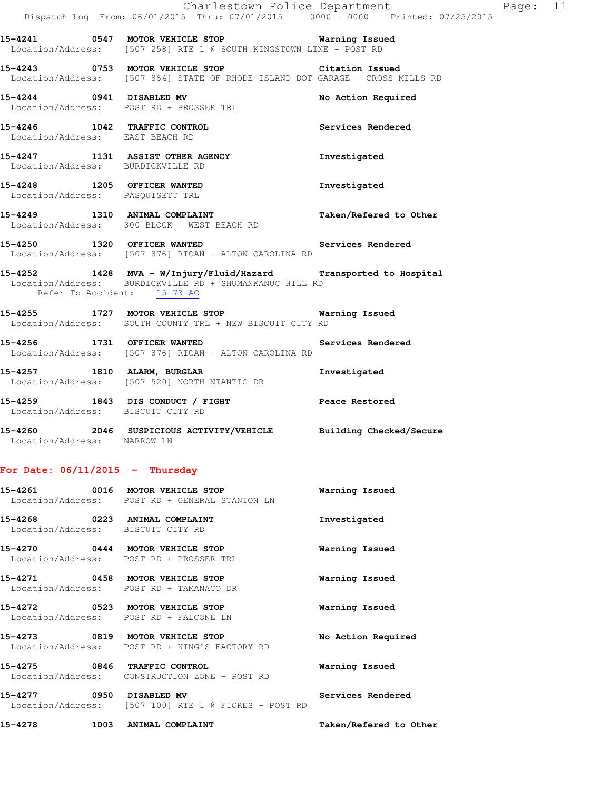|                                   | Dispatch Log From: 06/01/2015 Thru: 07/01/2015 0000 - 0000 Printed: 07/25/2015                                                   | Charlestown Police Department | Page: 11 |  |
|-----------------------------------|----------------------------------------------------------------------------------------------------------------------------------|-------------------------------|----------|--|
|                                   | 15-4241 0547 MOTOR VEHICLE STOP 6 Warning Issued<br>Location/Address: [507 258] RTE 1 @ SOUTH KINGSTOWN LINE - POST RD           |                               |          |  |
|                                   | 15-4243 0753 MOTOR VEHICLE STOP Citation Issued<br>Location/Address: [507 864] STATE OF RHODE ISLAND DOT GARAGE - CROSS MILLS RD |                               |          |  |
|                                   | 15-4244 0941 DISABLED MV<br>Location/Address: POST RD + PROSSER TRL                                                              | No Action Required            |          |  |
| Location/Address: EAST BEACH RD   | 15-4246 1042 TRAFFIC CONTROL                                                                                                     | Services Rendered             |          |  |
| Location/Address: BURDICKVILLE RD | 15-4247 1131 ASSIST OTHER AGENCY                                                                                                 | Investigated                  |          |  |
| Location/Address: PASQUISETT TRL  | 15-4248 1205 OFFICER WANTED                                                                                                      | Investigated                  |          |  |
|                                   | 15-4249 1310 ANIMAL COMPLAINT<br>Location/Address: 300 BLOCK - WEST BEACH RD                                                     | Taken/Refered to Other        |          |  |
|                                   | 15-4250 1320 OFFICER WANTED Services Rendered<br>Location/Address: [507 876] RICAN - ALTON CAROLINA RD                           |                               |          |  |
| Refer To Accident: 15-73-AC       | 15-4252 1428 MVA - W/Injury/Fluid/Hazard Transported to Hospital<br>Location/Address: BURDICKVILLE RD + SHUMANKANUC HILL RD      |                               |          |  |
|                                   | 15-4255 1727 MOTOR VEHICLE STOP 6 Warning Issued<br>Location/Address: SOUTH COUNTY TRL + NEW BISCUIT CITY RD                     |                               |          |  |
|                                   | 15-4256 1731 OFFICER WANTED<br>Location/Address: [507 876] RICAN - ALTON CAROLINA RD                                             | Services Rendered             |          |  |
| 15-4257 1810 ALARM, BURGLAR       | Location/Address: [507 520] NORTH NIANTIC DR                                                                                     | Investigated                  |          |  |
| Location/Address: BISCUIT CITY RD | 15-4259 1843 DIS CONDUCT / FIGHT Peace Restored                                                                                  |                               |          |  |
| Location/Address: NARROW LN       | 15-4260 2046 SUSPICIOUS ACTIVITY/VEHICLE Building Checked/Secure                                                                 |                               |          |  |

# **For Date: 06/11/2015 - Thursday**

|                                                                           | Location/Address: POST RD + GENERAL STANTON LN       | Warning Issued         |
|---------------------------------------------------------------------------|------------------------------------------------------|------------------------|
| 15-4268 0223 ANIMAL COMPLAINT<br>Location/Address: BISCUIT CITY RD        |                                                      | Investigated           |
| 15-4270 0444 MOTOR VEHICLE STOP                                           | Location/Address: POST RD + PROSSER TRL              | Warning Issued         |
| 15-4271 0458 MOTOR VEHICLE STOP                                           | Location/Address: POST RD + TAMANACO DR              | Warning Issued         |
| 15-4272 0523 MOTOR VEHICLE STOP<br>Location/Address: POST RD + FALCONE LN |                                                      | Warning Issued         |
| 15-4273 0819 MOTOR VEHICLE STOP                                           | Location/Address: POST RD + KING'S FACTORY RD        | No Action Required     |
| 15-4275 0846 TRAFFIC CONTROL                                              | Location/Address: CONSTRUCTION ZONE - POST RD        | Warning Issued         |
|                                                                           | Location/Address: [507 100] RTE 1 @ FIORES - POST RD | Services Rendered      |
| 15-4278 1003 ANIMAL COMPLAINT                                             |                                                      | Taken/Refered to Other |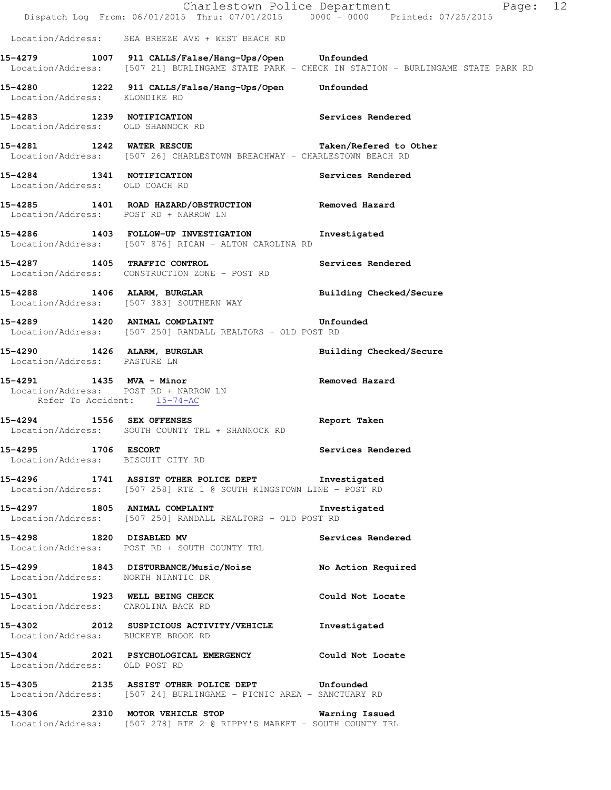|                                                                      | Dispatch Log From: 06/01/2015 Thru: 07/01/2015 0000 - 0000 Printed: 07/25/2015                                                   | Charlestown Police Department<br>Page: 12                                                      |  |
|----------------------------------------------------------------------|----------------------------------------------------------------------------------------------------------------------------------|------------------------------------------------------------------------------------------------|--|
|                                                                      | Location/Address: SEA BREEZE AVE + WEST BEACH RD                                                                                 |                                                                                                |  |
|                                                                      | 15-4279 1007 911 CALLS/False/Hang-Ups/Open Unfounded                                                                             | Location/Address: [507 21] BURLINGAME STATE PARK - CHECK IN STATION - BURLINGAME STATE PARK RD |  |
| Location/Address: KLONDIKE RD                                        | 15-4280 1222 911 CALLS/False/Hang-Ups/Open Unfounded                                                                             |                                                                                                |  |
| Location/Address: OLD SHANNOCK RD                                    | 15-4283 1239 NOTIFICATION                                                                                                        | Services Rendered                                                                              |  |
|                                                                      | 15-4281 1242 WATER RESCUE 12.1 Taken/Refered to Other<br>Location/Address: [507 26] CHARLESTOWN BREACHWAY - CHARLESTOWN BEACH RD |                                                                                                |  |
| 15-4284 1341 NOTIFICATION<br>Location/Address: OLD COACH RD          |                                                                                                                                  | Services Rendered                                                                              |  |
| Location/Address: POST RD + NARROW LN                                | 15-4285 1401 ROAD HAZARD/OBSTRUCTION                                                                                             | Removed Hazard                                                                                 |  |
|                                                                      | 15-4286 1403 FOLLOW-UP INVESTIGATION<br>Location/Address: [507 876] RICAN - ALTON CAROLINA RD                                    | Investigated                                                                                   |  |
|                                                                      | 15-4287 1405 TRAFFIC CONTROL<br>Location/Address: CONSTRUCTION ZONE - POST RD                                                    | Services Rendered                                                                              |  |
|                                                                      | 15-4288 1406 ALARM, BURGLAR<br>Location/Address: [507 383] SOUTHERN WAY                                                          | Building Checked/Secure                                                                        |  |
|                                                                      | Location/Address: [507 250] RANDALL REALTORS - OLD POST RD                                                                       |                                                                                                |  |
| Location/Address: PASTURE LN                                         | 15-4290 1426 ALARM, BURGLAR                                                                                                      | Building Checked/Secure                                                                        |  |
| Location/Address: POST RD + NARROW LN<br>Refer To Accident: 15-74-AC | 15-4291 1435 MVA - Minor                                                                                                         | Removed Hazard                                                                                 |  |
|                                                                      | 15-4294 1556 SEX OFFENSES<br>Location/Address: SOUTH COUNTY TRL + SHANNOCK RD                                                    | Report Taken                                                                                   |  |
| 15-4295 1706 ESCORT<br>Location/Address: BISCUIT CITY RD             |                                                                                                                                  | Services Rendered                                                                              |  |
|                                                                      | 15-4296 1741 ASSIST OTHER POLICE DEPT <b>Investigated</b><br>Location/Address: [507 258] RTE 1 @ SOUTH KINGSTOWN LINE - POST RD  |                                                                                                |  |
|                                                                      | 15-4297 1805 ANIMAL COMPLAINT Threstigated<br>Location/Address: [507 250] RANDALL REALTORS - OLD POST RD                         |                                                                                                |  |
|                                                                      | 15-4298 1820 DISABLED MV<br>Location/Address: POST RD + SOUTH COUNTY TRL                                                         | Services Rendered                                                                              |  |
| Location/Address: NORTH NIANTIC DR                                   | 15-4299 1843 DISTURBANCE/Music/Noise No Action Required                                                                          |                                                                                                |  |
| Location/Address: CAROLINA BACK RD                                   | 15-4301 1923 WELL BEING CHECK                                                                                                    | Could Not Locate                                                                               |  |
| Location/Address: BUCKEYE BROOK RD                                   | 15-4302 2012 SUSPICIOUS ACTIVITY/VEHICLE Investigated                                                                            |                                                                                                |  |
| Location/Address: OLD POST RD                                        | 15-4304 2021 PSYCHOLOGICAL EMERGENCY Could Not Locate                                                                            |                                                                                                |  |
|                                                                      | 15-4305 2135 ASSIST OTHER POLICE DEPT Unfounded<br>Location/Address: [507 24] BURLINGAME - PICNIC AREA - SANCTUARY RD            |                                                                                                |  |
|                                                                      | 15-4306 2310 MOTOR VEHICLE STOP 6 Warning Issued<br>Location/Address: [507 278] RTE 2 @ RIPPY'S MARKET - SOUTH COUNTY TRL        |                                                                                                |  |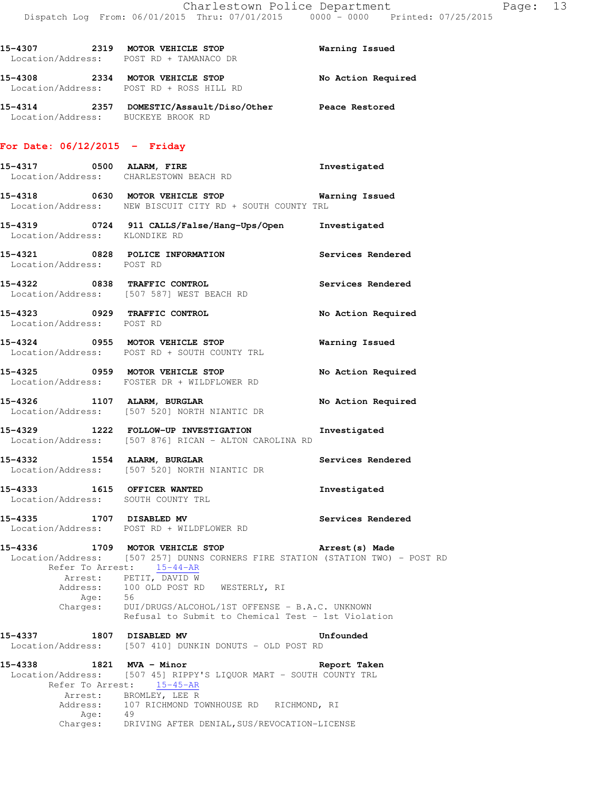**15-4307 2319 MOTOR VEHICLE STOP Warning Issued** 

|                                                                   | Location/Address: POST RD + TAMANACO DR                                                                                                                                                                                                                                                                                               |                       |
|-------------------------------------------------------------------|---------------------------------------------------------------------------------------------------------------------------------------------------------------------------------------------------------------------------------------------------------------------------------------------------------------------------------------|-----------------------|
|                                                                   | 15-4308 2334 MOTOR VEHICLE STOP<br>Location/Address: POST RD + ROSS HILL RD                                                                                                                                                                                                                                                           | No Action Required    |
| Location/Address: BUCKEYE BROOK RD                                | 15-4314 2357 DOMESTIC/Assault/Diso/Other Peace Restored                                                                                                                                                                                                                                                                               |                       |
| For Date: $06/12/2015$ - Friday                                   |                                                                                                                                                                                                                                                                                                                                       |                       |
|                                                                   | 15-4317 0500 ALARM, FIRE<br>Location/Address: CHARLESTOWN BEACH RD                                                                                                                                                                                                                                                                    | Investigated          |
|                                                                   | 15-4318 0630 MOTOR VEHICLE STOP <b>Warning Issued</b><br>Location/Address: NEW BISCUIT CITY RD + SOUTH COUNTY TRL                                                                                                                                                                                                                     |                       |
| Location/Address: KLONDIKE RD                                     | 15-4319 0724 911 CALLS/False/Hang-Ups/Open Investigated                                                                                                                                                                                                                                                                               |                       |
| Location/Address: POST RD                                         | 15-4321 0828 POLICE INFORMATION                                                                                                                                                                                                                                                                                                       | Services Rendered     |
|                                                                   | 15-4322 0838 TRAFFIC CONTROL<br>Location/Address: [507 587] WEST BEACH RD                                                                                                                                                                                                                                                             | Services Rendered     |
| Location/Address: POST RD                                         | 15-4323 0929 TRAFFIC CONTROL                                                                                                                                                                                                                                                                                                          | No Action Required    |
|                                                                   | 15-4324 0955 MOTOR VEHICLE STOP<br>Location/Address: POST RD + SOUTH COUNTY TRL                                                                                                                                                                                                                                                       | <b>Warning Issued</b> |
|                                                                   | 15-4325 0959 MOTOR VEHICLE STOP<br>Location/Address: FOSTER DR + WILDFLOWER RD                                                                                                                                                                                                                                                        | No Action Required    |
|                                                                   | 15-4326 1107 ALARM, BURGLAR<br>Location/Address: [507 520] NORTH NIANTIC DR                                                                                                                                                                                                                                                           | No Action Required    |
|                                                                   | 15-4329 1222 FOLLOW-UP INVESTIGATION<br>Location/Address: [507 876] RICAN - ALTON CAROLINA RD                                                                                                                                                                                                                                         | Investigated          |
|                                                                   | 15-4332 1554 ALARM, BURGLAR 1988 1997 Services Rendered<br>Location/Address: [507 520] NORTH NIANTIC DR                                                                                                                                                                                                                               |                       |
| 15-4333 1615 OFFICER WANTED<br>Location/Address: SOUTH COUNTY TRL |                                                                                                                                                                                                                                                                                                                                       | Investigated          |
| 15-4335 1707 DISABLED MV                                          | Location/Address: POST RD + WILDFLOWER RD                                                                                                                                                                                                                                                                                             | Services Rendered     |
| 15-4336                                                           | 1709 MOTOR VEHICLE STOP<br>Location/Address: [507 257] DUNNS CORNERS FIRE STATION (STATION TWO) - POST RD<br>Refer To Arrest: 15-44-AR<br>Arrest: PETIT, DAVID W<br>Address: 100 OLD POST RD WESTERLY, RI<br>Age: 56<br>Charges: DUI/DRUGS/ALCOHOL/1ST OFFENSE - B.A.C. UNKNOWN<br>Refusal to Submit to Chemical Test - 1st Violation | Arrest(s) Made        |
| 15–4337                                                           | 1807 DISABLED MV<br>Location/Address: [507 410] DUNKIN DONUTS - OLD POST RD                                                                                                                                                                                                                                                           | Unfounded             |
| 15-4338 1821 MVA - Minor                                          | Location/Address: [507 45] RIPPY'S LIQUOR MART - SOUTH COUNTY TRL<br>Refer To Arrest: 15-45-AR<br>Arrest: BROMLEY, LEE R<br>Address: 107 RICHMOND TOWNHOUSE RD RICHMOND, RI                                                                                                                                                           | Report Taken          |
| Age: 49                                                           | Charges: DRIVING AFTER DENIAL, SUS/REVOCATION-LICENSE                                                                                                                                                                                                                                                                                 |                       |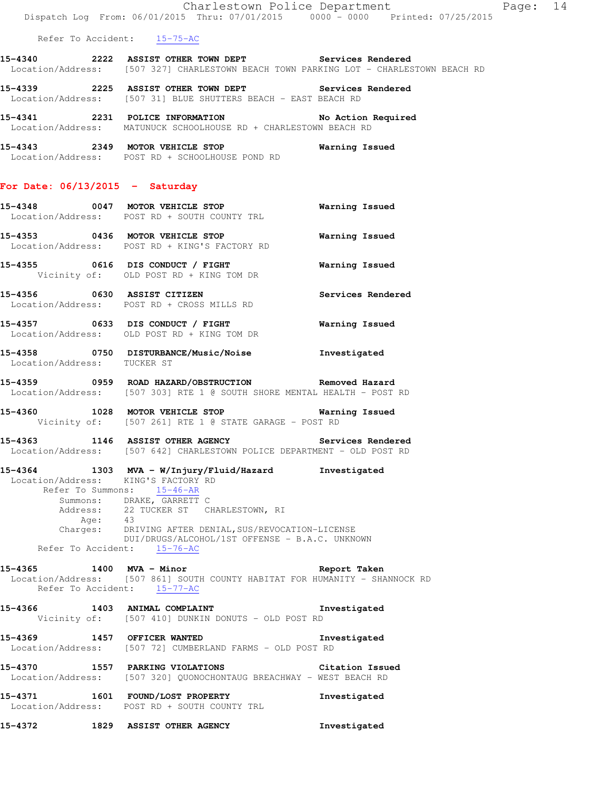Refer To Accident: 15-75-AC

**15-4340 2222 ASSIST OTHER TOWN DEPT Services Rendered**  Location/Address: [507 327] CHARLESTOWN BEACH TOWN PARKING LOT - CHARLESTOWN BEACH RD

**15-4339 2225 ASSIST OTHER TOWN DEPT Services Rendered**  Location/Address: [507 31] BLUE SHUTTERS BEACH - EAST BEACH RD

**15-4341 2231 POLICE INFORMATION No Action Required**  Location/Address: MATUNUCK SCHOOLHOUSE RD + CHARLESTOWN BEACH RD

**15-4343 2349 MOTOR VEHICLE STOP Warning Issued**  Location/Address: POST RD + SCHOOLHOUSE POND RD

#### **For Date: 06/13/2015 - Saturday**

| 15-4348<br>0047<br>Location/Address: | MOTOR VEHICLE STOP<br>POST RD + SOUTH COUNTY TRL                    | Warning Issued    |
|--------------------------------------|---------------------------------------------------------------------|-------------------|
| 15-4353<br>0436                      | MOTOR VEHICLE STOP<br>Location/Address: POST RD + KING'S FACTORY RD | Warning Issued    |
| $15 - 4355$                          | 0616 DIS CONDUCT / FIGHT<br>Vicinity of: OLD POST RD + KING TOM DR  | Warning Issued    |
| 15-4356<br>0630<br>Location/Address: | ASSIST CITIZEN<br>POST RD + CROSS MILLS RD                          | Services Rendered |
| 15-4357<br>0633<br>Location/Address: | DIS CONDUCT / FIGHT<br>OLD POST RD + KING TOM DR                    | Warning Issued    |

**15-4358 0750 DISTURBANCE/Music/Noise Investigated**  Location/Address: TUCKER ST

**15-4359 0959 ROAD HAZARD/OBSTRUCTION Removed Hazard**  Location/Address: [507 303] RTE 1 @ SOUTH SHORE MENTAL HEALTH - POST RD

**15-4360 1028 MOTOR VEHICLE STOP Warning Issued**  Vicinity of: [507 261] RTE 1 @ STATE GARAGE - POST RD

**15-4363 1146 ASSIST OTHER AGENCY Services Rendered**  Location/Address: [507 642] CHARLESTOWN POLICE DEPARTMENT - OLD POST RD

**15-4364 1303 MVA - W/Injury/Fluid/Hazard Investigated**  Location/Address: KING'S FACTORY RD Refer To Summons: 15-46-AR Summons: DRAKE, GARRETT C 22 TUCKER ST CHARLESTOWN, RI Address: 22<br>Age: 43 Charges: DRIVING AFTER DENIAL,SUS/REVOCATION-LICENSE DUI/DRUGS/ALCOHOL/1ST OFFENSE - B.A.C. UNKNOWN Refer To Accident: 15-76-AC

**15-4365 1400 MVA - Minor Report Taken**  Location/Address: [507 861] SOUTH COUNTY HABITAT FOR HUMANITY - SHANNOCK RD Refer To Accident: 15-77-AC

**15-4366 1403 ANIMAL COMPLAINT Investigated**  Vicinity of: [507 410] DUNKIN DONUTS - OLD POST RD

**15-4369 1457 OFFICER WANTED Investigated**  Location/Address: [507 72] CUMBERLAND FARMS - OLD POST RD

**15-4370 1557 PARKING VIOLATIONS Citation Issued**  Location/Address: [507 320] QUONOCHONTAUG BREACHWAY - WEST BEACH RD

**15-4371 1601 FOUND/LOST PROPERTY Investigated**  Location/Address: POST RD + SOUTH COUNTY TRL

**15-4372 1829 ASSIST OTHER AGENCY Investigated**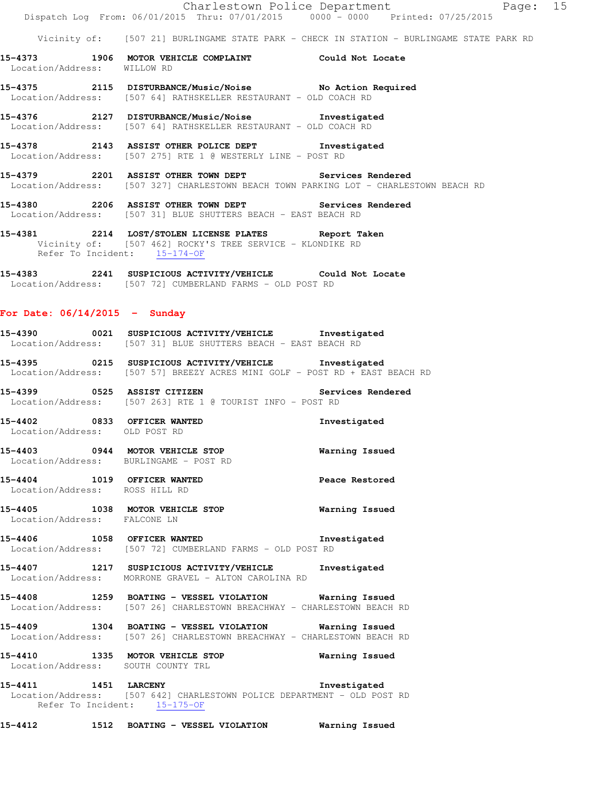|                                                              | Dispatch Log From: 06/01/2015 Thru: 07/01/2015 0000 - 0000 Printed: 07/25/2015                                                                               | Page: 15<br>Charlestown Police Department                                                 |
|--------------------------------------------------------------|--------------------------------------------------------------------------------------------------------------------------------------------------------------|-------------------------------------------------------------------------------------------|
|                                                              |                                                                                                                                                              | Vicinity of: [507 21] BURLINGAME STATE PARK - CHECK IN STATION - BURLINGAME STATE PARK RD |
| Location/Address: WILLOW RD                                  | 15-4373 1906 MOTOR VEHICLE COMPLAINT Could Not Locate                                                                                                        |                                                                                           |
|                                                              | 15-4375 2115 DISTURBANCE/Music/Noise No Action Required<br>Location/Address: [507 64] RATHSKELLER RESTAURANT - OLD COACH RD                                  |                                                                                           |
|                                                              | 15-4376 2127 DISTURBANCE/Music/Noise Investigated<br>Location/Address: [507 64] RATHSKELLER RESTAURANT - OLD COACH RD                                        |                                                                                           |
|                                                              | 15-4378 2143 ASSIST OTHER POLICE DEPT Investigated<br>Location/Address: [507 275] RTE 1 @ WESTERLY LINE - POST RD                                            |                                                                                           |
|                                                              | 15-4379 2201 ASSIST OTHER TOWN DEPT Services Rendered<br>Location/Address: [507 327] CHARLESTOWN BEACH TOWN PARKING LOT - CHARLESTOWN BEACH RD               |                                                                                           |
|                                                              | 15-4380 2206 ASSIST OTHER TOWN DEPT Services Rendered<br>Location/Address: [507 31] BLUE SHUTTERS BEACH - EAST BEACH RD                                      |                                                                                           |
|                                                              | 15-4381 			 2214 LOST/STOLEN LICENSE PLATES Report Taken<br>Vicinity of: [507 462] ROCKY'S TREE SERVICE - KLONDIKE RD<br>Refer To Incident: 15-174-OF        |                                                                                           |
|                                                              | 15-4383 2241 SUSPICIOUS ACTIVITY/VEHICLE Could Not Locate<br>Location/Address: [507 72] CUMBERLAND FARMS - OLD POST RD                                       |                                                                                           |
| For Date: $06/14/2015$ - Sunday                              |                                                                                                                                                              |                                                                                           |
|                                                              | 15-4390 0021 SUSPICIOUS ACTIVITY/VEHICLE Investigated<br>Location/Address: [507 31] BLUE SHUTTERS BEACH - EAST BEACH RD                                      |                                                                                           |
|                                                              | 15-4395 0215 SUSPICIOUS ACTIVITY/VEHICLE Investigated<br>Location/Address: [507 57] BREEZY ACRES MINI GOLF - POST RD + EAST BEACH RD                         |                                                                                           |
|                                                              | 15-4399 			 0525 ASSIST CITIZEN 			 Services Rendered<br>Location/Address: [507 263] RTE 1 @ TOURIST INFO - POST RD                                          |                                                                                           |
| 15-4402 0833 OFFICER WANTED<br>Location/Address: OLD POST RD |                                                                                                                                                              | Investigated                                                                              |
|                                                              | 15-4403 0944 MOTOR VEHICLE STOP<br>Location/Address: BURLINGAME - POST RD                                                                                    | Warning Issued                                                                            |
| Location/Address: ROSS HILL RD                               | 15-4404 1019 OFFICER WANTED                                                                                                                                  | Peace Restored                                                                            |
| Location/Address: FALCONE LN                                 | 15-4405 1038 MOTOR VEHICLE STOP                                                                                                                              | <b>Warning Issued</b>                                                                     |
|                                                              | 15-4406 1058 OFFICER WANTED 1nvestigated<br>Location/Address: [507 72] CUMBERLAND FARMS - OLD POST RD                                                        |                                                                                           |
|                                                              | 15-4407 1217 SUSPICIOUS ACTIVITY/VEHICLE Investigated<br>Location/Address: MORRONE GRAVEL - ALTON CAROLINA RD                                                |                                                                                           |
|                                                              | 15-4408 1259 BOATING - VESSEL VIOLATION Warning Issued<br>Location/Address: [507 26] CHARLESTOWN BREACHWAY - CHARLESTOWN BEACH RD                            |                                                                                           |
|                                                              | 15-4409 1304 BOATING - VESSEL VIOLATION Warning Issued<br>Location/Address: [507 26] CHARLESTOWN BREACHWAY - CHARLESTOWN BEACH RD                            |                                                                                           |
|                                                              | 15-4410 1335 MOTOR VEHICLE STOP<br>Location/Address: SOUTH COUNTY TRL                                                                                        | Warning Issued                                                                            |
|                                                              | 15-4411 1451 LARCENY 1451 1200 1200 1200 1200 121<br>Location/Address: [507 642] CHARLESTOWN POLICE DEPARTMENT - OLD POST RD<br>Refer To Incident: 15-175-OF |                                                                                           |
|                                                              | 15-4412 1512 BOATING - VESSEL VIOLATION Warning Issued                                                                                                       |                                                                                           |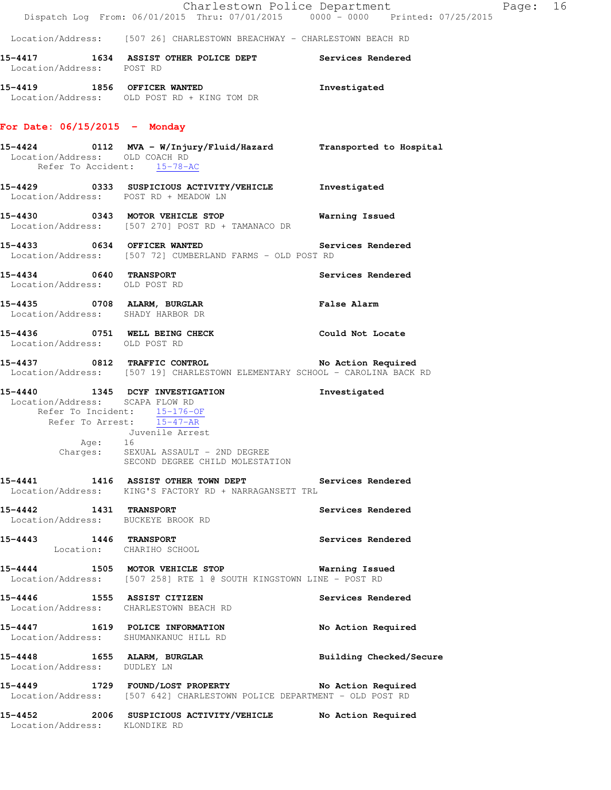|                                                               | Dispatch Log From: 06/01/2015 Thru: 07/01/2015 0000 - 0000 Printed: 07/25/2015                                                                                                               | Charlestown Police Department | Page: 16 |  |
|---------------------------------------------------------------|----------------------------------------------------------------------------------------------------------------------------------------------------------------------------------------------|-------------------------------|----------|--|
|                                                               | Location/Address: [507 26] CHARLESTOWN BREACHWAY - CHARLESTOWN BEACH RD                                                                                                                      |                               |          |  |
| Location/Address: POST RD                                     | 15-4417 1634 ASSIST OTHER POLICE DEPT Services Rendered                                                                                                                                      |                               |          |  |
|                                                               | 15-4419 1856 OFFICER WANTED<br>Location/Address: OLD POST RD + KING TOM DR                                                                                                                   | Investigated                  |          |  |
| For Date: $06/15/2015$ - Monday                               |                                                                                                                                                                                              |                               |          |  |
| Location/Address: OLD COACH RD<br>Refer To Accident: 15-78-AC | 15-4424 			 0112 		MVA - W/Injury/Fluid/Hazard 				 Transported to Hospital                                                                                                                  |                               |          |  |
| Location/Address: POST RD + MEADOW LN                         | 15-4429 0333 SUSPICIOUS ACTIVITY/VEHICLE Investigated                                                                                                                                        |                               |          |  |
|                                                               | 15-4430 0343 MOTOR VEHICLE STOP<br>Location/Address: [507 270] POST RD + TAMANACO DR                                                                                                         | Warning Issued                |          |  |
| 15-4433 0634 OFFICER WANTED                                   | Location/Address: [507 72] CUMBERLAND FARMS - OLD POST RD                                                                                                                                    | Services Rendered             |          |  |
| 15-4434 0640 TRANSPORT<br>Location/Address: OLD POST RD       |                                                                                                                                                                                              | Services Rendered             |          |  |
| Location/Address: SHADY HARBOR DR                             | 15-4435 0708 ALARM, BURGLAR                                                                                                                                                                  | <b>False Alarm</b>            |          |  |
| Location/Address: OLD POST RD                                 | 15-4436 0751 WELL BEING CHECK                                                                                                                                                                | Could Not Locate              |          |  |
|                                                               | 15-4437 0812 TRAFFIC CONTROL No Action Required<br>Location/Address: [507 19] CHARLESTOWN ELEMENTARY SCHOOL - CAROLINA BACK RD                                                               |                               |          |  |
| Location/Address: SCAPA FLOW RD<br>Age: 16                    | 15-4440 1345 DCYF INVESTIGATION<br>Refer To Incident: $15-176-OF$<br>Refer To Arrest: 15-47-AR<br>Juvenile Arrest<br>Charges: SEXUAL ASSAULT - 2ND DEGREE<br>SECOND DEGREE CHILD MOLESTATION | Investigated                  |          |  |
|                                                               | 15-4441 1416 ASSIST OTHER TOWN DEPT Services Rendered<br>Location/Address: KING'S FACTORY RD + NARRAGANSETT TRL                                                                              |                               |          |  |
| Location/Address: BUCKEYE BROOK RD                            | 15-4442 1431 TRANSPORT                                                                                                                                                                       | Services Rendered             |          |  |
| 15-4443 1446 TRANSPORT<br>Location: CHARIHO SCHOOL            |                                                                                                                                                                                              | Services Rendered             |          |  |
|                                                               | 15-4444 1505 MOTOR VEHICLE STOP 6 Warning Issued<br>Location/Address: [507 258] RTE 1 @ SOUTH KINGSTOWN LINE - POST RD                                                                       |                               |          |  |
|                                                               | 15-4446 1555 ASSIST CITIZEN<br>Location/Address: CHARLESTOWN BEACH RD                                                                                                                        | Services Rendered             |          |  |
|                                                               | 15-4447 1619 POLICE INFORMATION<br>Location/Address: SHUMANKANUC HILL RD                                                                                                                     | No Action Required            |          |  |
| Location/Address: DUDLEY LN                                   | 15-4448 1655 ALARM, BURGLAR                                                                                                                                                                  | Building Checked/Secure       |          |  |
|                                                               | 15-4449 1729 FOUND/LOST PROPERTY No Action Required<br>Location/Address: [507 642] CHARLESTOWN POLICE DEPARTMENT - OLD POST RD                                                               |                               |          |  |
| Location/Address: KLONDIKE RD                                 | 15-4452 2006 SUSPICIOUS ACTIVITY/VEHICLE No Action Required                                                                                                                                  |                               |          |  |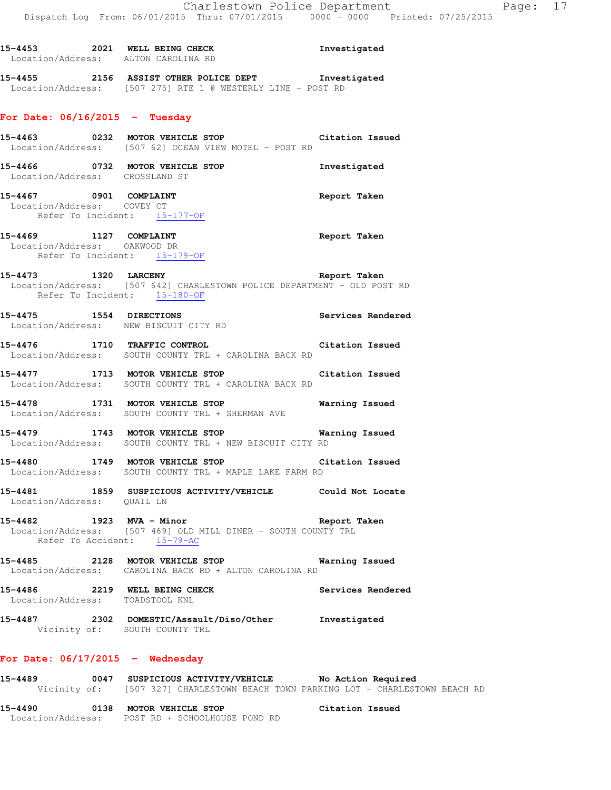**15-4453 2021 WELL BEING CHECK Investigated** 

| Location/Address: ALTON CAROLINA RD                                                    |                                                                                                                                         |                   |
|----------------------------------------------------------------------------------------|-----------------------------------------------------------------------------------------------------------------------------------------|-------------------|
|                                                                                        | 15-4455 2156 ASSIST OTHER POLICE DEPT Threstigated<br>Location/Address: [507 275] RTE 1 @ WESTERLY LINE - POST RD                       |                   |
| For Date: $06/16/2015$ - Tuesday                                                       |                                                                                                                                         |                   |
|                                                                                        | 15-4463 			 0232 			 MOTOR VEHICLE STOP 			 Citation Issued<br>Location/Address: [507 62] OCEAN VIEW MOTEL - POST RD                    |                   |
| Location/Address: CROSSLAND ST                                                         | 15-4466 0732 MOTOR VEHICLE STOP                                                                                                         | Investigated      |
| 15-4467 0901 COMPLAINT<br>Location/Address: COVEY CT<br>Refer To Incident: 15-177-OF   |                                                                                                                                         | Report Taken      |
| 15-4469 1127 COMPLAINT<br>Location/Address: OAKWOOD DR<br>Refer To Incident: 15-179-OF |                                                                                                                                         | Report Taken      |
| Refer To Incident: 15-180-OF                                                           | 15-4473 1320 LARCENY<br>Location/Address: [507 642] CHARLESTOWN POLICE DEPARTMENT - OLD POST RD                                         | Report Taken      |
|                                                                                        | 15-4475 1554 DIRECTIONS<br>Location/Address: NEW BISCUIT CITY RD                                                                        | Services Rendered |
|                                                                                        | 15-4476 1710 TRAFFIC CONTROL 15-4476 Citation Issued<br>Location/Address: SOUTH COUNTY TRL + CAROLINA BACK RD                           |                   |
|                                                                                        | 15-4477 1713 MOTOR VEHICLE STOP<br>Location/Address: SOUTH COUNTY TRL + CAROLINA BACK RD                                                | Citation Issued   |
|                                                                                        | 15-4478 1731 MOTOR VEHICLE STOP 6 Narning Issued<br>Location/Address: SOUTH COUNTY TRL + SHERMAN AVE                                    |                   |
|                                                                                        | 15-4479 1743 MOTOR VEHICLE STOP 15 Warning Issued<br>Location/Address: SOUTH COUNTY TRL + NEW BISCUIT CITY RD                           |                   |
|                                                                                        | 15-4480 1749 MOTOR VEHICLE STOP 15-4480<br>Location/Address: SOUTH COUNTY TRL + MAPLE LAKE FARM RD                                      |                   |
| Location/Address: QUAIL LN                                                             | 15-4481 1859 SUSPICIOUS ACTIVITY/VEHICLE Could Not Locate                                                                               |                   |
| 15-4482 1923 MVA - Minor                                                               | Location/Address: [507 469] OLD MILL DINER - SOUTH COUNTY TRL<br>Refer To Accident: 15-79-AC                                            | Report Taken      |
|                                                                                        | 15-4485 2128 MOTOR VEHICLE STOP<br>Location/Address: CAROLINA BACK RD + ALTON CAROLINA RD                                               | Warning Issued    |
| 15-4486 2219 WELL BEING CHECK<br>Location/Address: TOADSTOOL KNL                       |                                                                                                                                         | Services Rendered |
|                                                                                        | 15-4487  2302 DOMESTIC/Assault/Diso/Other Investigated<br>Vicinity of: SOUTH COUNTY TRL                                                 |                   |
| For Date: 06/17/2015 - Wednesday                                                       |                                                                                                                                         |                   |
| 15-4489                                                                                | 0047 SUSPICIOUS ACTIVITY/VEHICLE No Action Required<br>Vicinity of: [507 327] CHARLESTOWN BEACH TOWN PARKING LOT - CHARLESTOWN BEACH RD |                   |

**15-4490 0138 MOTOR VEHICLE STOP Citation Issued**  Location/Address: POST RD + SCHOOLHOUSE POND RD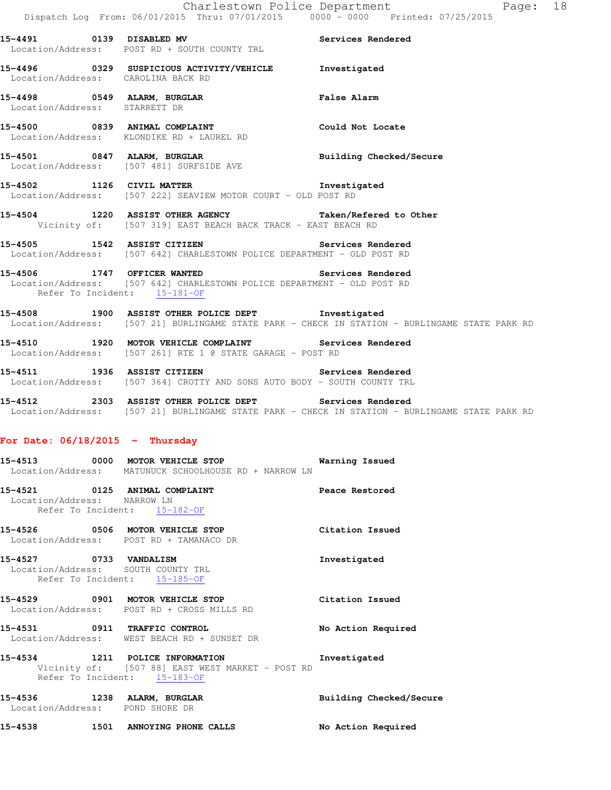**15-4491 0139 DISABLED MV Services Rendered**  Location/Address: POST RD + SOUTH COUNTY TRL **15-4496 0329 SUSPICIOUS ACTIVITY/VEHICLE Investigated**  Location/Address: CAROLINA BACK RD **15-4498 0549 ALARM, BURGLAR False Alarm**  Location/Address: STARRETT DR **15-4500 0839 ANIMAL COMPLAINT Could Not Locate**  Location/Address: KLONDIKE RD + LAUREL RD **15-4501 0847 ALARM, BURGLAR Building Checked/Secure**  Location/Address: [507 481] SURFSIDE AVE **15-4502 1126 CIVIL MATTER Investigated**  Location/Address: [507 222] SEAVIEW MOTOR COURT - OLD POST RD **15-4504 1220 ASSIST OTHER AGENCY Taken/Refered to Other**  Vicinity of: [507 319] EAST BEACH BACK TRACK - EAST BEACH RD **15-4505 1542 ASSIST CITIZEN Services Rendered**  Location/Address: [507 642] CHARLESTOWN POLICE DEPARTMENT - OLD POST RD **15-4506 1747 OFFICER WANTED Services Rendered**  Location/Address: [507 642] CHARLESTOWN POLICE DEPARTMENT - OLD POST RD Refer To Incident: 15-181-OF **15-4508 1900 ASSIST OTHER POLICE DEPT Investigated**  Location/Address: [507 21] BURLINGAME STATE PARK - CHECK IN STATION - BURLINGAME STATE PARK RD **15-4510 1920 MOTOR VEHICLE COMPLAINT Services Rendered**  Location/Address: [507 261] RTE 1 @ STATE GARAGE - POST RD **15-4511 1936 ASSIST CITIZEN Services Rendered**  Location/Address: [507 364] CROTTY AND SONS AUTO BODY - SOUTH COUNTY TRL **15-4512 2303 ASSIST OTHER POLICE DEPT Services Rendered**  Location/Address: [507 21] BURLINGAME STATE PARK - CHECK IN STATION - BURLINGAME STATE PARK RD **For Date: 06/18/2015 - Thursday 15-4513 0000 MOTOR VEHICLE STOP Warning Issued**  Location/Address: MATUNUCK SCHOOLHOUSE RD + NARROW LN

**15-4521 0125 ANIMAL COMPLAINT Peace Restored**  Location/Address: NARROW LN Refer To Incident: 15-182-OF

**15-4526 0506 MOTOR VEHICLE STOP Citation Issued**  Location/Address: POST RD + TAMANACO DR **15-4527 0733 VANDALISM Investigated** 

 Location/Address: SOUTH COUNTY TRL Refer To Incident: 15-185-OF

**15-4529 0901 MOTOR VEHICLE STOP Citation Issued**  Location/Address: POST RD + CROSS MILLS RD

**15-4531 0911 TRAFFIC CONTROL No Action Required**  Location/Address: WEST BEACH RD + SUNSET DR

**15-4534 1211 POLICE INFORMATION Investigated**  Vicinity of: [507 88] EAST WEST MARKET - POST RD Refer To Incident: 15-183-OF

**15-4536 1238 ALARM, BURGLAR Building Checked/Secure**  Location/Address: POND SHORE DR

**15-4538 1501 ANNOYING PHONE CALLS No Action Required**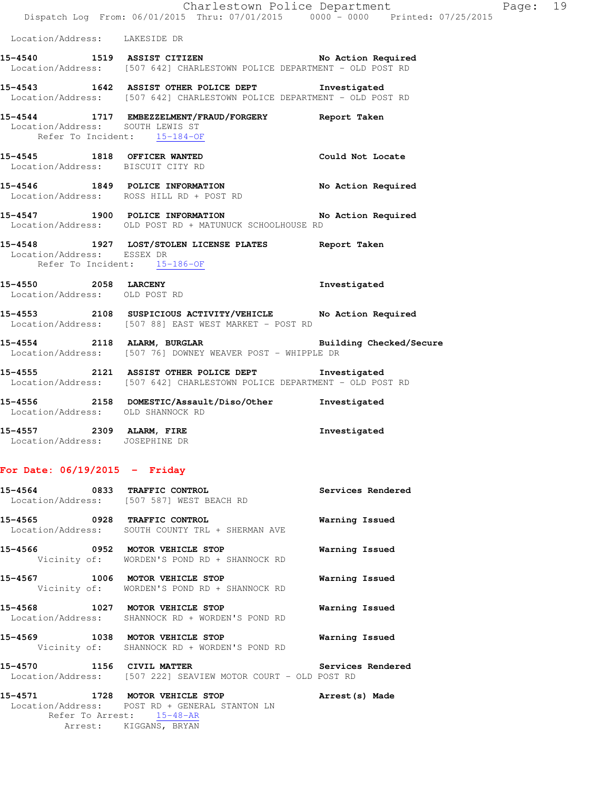|                                                                  | Dispatch Log From: 06/01/2015 Thru: 07/01/2015 0000 - 0000 Printed: 07/25/2015                                                   | Charlestown Police Department | Page: 19 |  |
|------------------------------------------------------------------|----------------------------------------------------------------------------------------------------------------------------------|-------------------------------|----------|--|
| Location/Address: LAKESIDE DR                                    |                                                                                                                                  |                               |          |  |
|                                                                  | 15-4540 1519 ASSIST CITIZEN No Action Required<br>Location/Address: [507 642] CHARLESTOWN POLICE DEPARTMENT - OLD POST RD        |                               |          |  |
|                                                                  | 15-4543 1642 ASSIST OTHER POLICE DEPT 1nvestigated<br>Location/Address: [507 642] CHARLESTOWN POLICE DEPARTMENT - OLD POST RD    |                               |          |  |
| Location/Address: SOUTH LEWIS ST<br>Refer To Incident: 15-184-OF | 15-4544 1717 EMBEZZELMENT/FRAUD/FORGERY Report Taken                                                                             |                               |          |  |
| Location/Address: BISCUIT CITY RD                                | 15-4545 1818 OFFICER WANTED                                                                                                      | Could Not Locate              |          |  |
|                                                                  | 15-4546 1849 POLICE INFORMATION<br>Location/Address: ROSS HILL RD + POST RD                                                      | No Action Required            |          |  |
|                                                                  | 15-4547 1900 POLICE INFORMATION No Action Required<br>Location/Address: OLD POST RD + MATUNUCK SCHOOLHOUSE RD                    |                               |          |  |
| Location/Address: ESSEX DR<br>Refer To Incident: 15-186-OF       | 15-4548 1927 LOST/STOLEN LICENSE PLATES Report Taken                                                                             |                               |          |  |
| 15-4550 2058 LARCENY<br>Location/Address: OLD POST RD            |                                                                                                                                  | Investigated                  |          |  |
|                                                                  | 15-4553 2108 SUSPICIOUS ACTIVITY/VEHICLE No Action Required<br>Location/Address: [507 88] EAST WEST MARKET - POST RD             |                               |          |  |
|                                                                  | 15-4554 2118 ALARM, BURGLAR <b>BURGLAR</b> Building Checked/Secure<br>Location/Address: [507 76] DOWNEY WEAVER POST - WHIPPLE DR |                               |          |  |
|                                                                  | 15-4555 2121 ASSIST OTHER POLICE DEPT Threstigated<br>Location/Address: [507 642] CHARLESTOWN POLICE DEPARTMENT - OLD POST RD    |                               |          |  |
| Location/Address: OLD SHANNOCK RD                                | 15-4556 2158 DOMESTIC/Assault/Diso/Other Investigated                                                                            |                               |          |  |
| 15-4557 2309 ALARM, FIRE<br>Location/Address: JOSEPHINE DR       |                                                                                                                                  | Investigated                  |          |  |

### **For Date: 06/19/2015 - Friday**

|                           | 15-4564 0833 TRAFFIC CONTROL<br>Location/Address: [507 587] WEST BEACH RD           | Services Rendered        |
|---------------------------|-------------------------------------------------------------------------------------|--------------------------|
|                           | 15-4565 0928 TRAFFIC CONTROL<br>Location/Address: SOUTH COUNTY TRL + SHERMAN AVE    | Warning Issued           |
|                           | 15-4566 0952 MOTOR VEHICLE STOP<br>Vicinity of: WORDEN'S POND RD + SHANNOCK RD      | Warning Issued           |
|                           | 15-4567 1006 MOTOR VEHICLE STOP<br>Vicinity of: WORDEN'S POND RD + SHANNOCK RD      | Warning Issued           |
|                           | 15-4568 1027 MOTOR VEHICLE STOP<br>Location/Address: SHANNOCK RD + WORDEN'S POND RD | Warning Issued           |
|                           | 15-4569 1038 MOTOR VEHICLE STOP<br>Vicinity of: SHANNOCK RD + WORDEN'S POND RD      | Warning Issued           |
| 15-4570 1156 CIVIL MATTER | Location/Address: [507 222] SEAVIEW MOTOR COURT - OLD POST RD                       | <b>Services Rendered</b> |
|                           |                                                                                     |                          |

**15-4571 1728 MOTOR VEHICLE STOP Arrest(s) Made**  Location/Address: POST RD + GENERAL STANTON LN Refer To Arrest: 15-48-AR Arrest: KIGGANS, BRYAN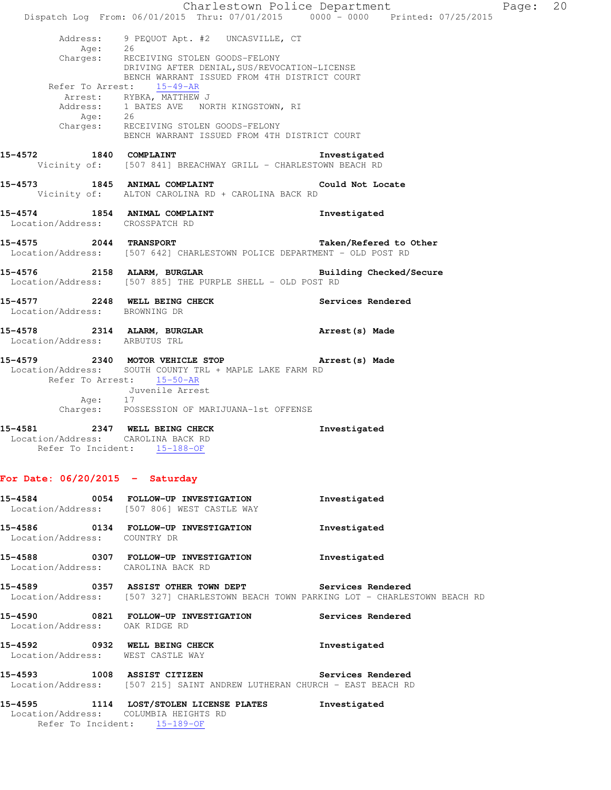|                                                                                                     | Dispatch Log From: 06/01/2015 Thru: 07/01/2015 0000 - 0000 Printed: 07/25/2015                                                                 | Charlestown Police Department | Page: 20 |  |
|-----------------------------------------------------------------------------------------------------|------------------------------------------------------------------------------------------------------------------------------------------------|-------------------------------|----------|--|
| Address:                                                                                            | 9 PEQUOT Apt. #2 UNCASVILLE, CT<br>Age: 26<br>Charges: RECEIVING STOLEN GOODS-FELONY                                                           |                               |          |  |
|                                                                                                     | DRIVING AFTER DENIAL, SUS/REVOCATION-LICENSE<br>BENCH WARRANT ISSUED FROM 4TH DISTRICT COURT                                                   |                               |          |  |
|                                                                                                     | Refer To Arrest: 15-49-AR                                                                                                                      |                               |          |  |
|                                                                                                     | Arrest: RYBKA, MATTHEW J<br>Address: 1 BATES AVE NORTH KINGSTOWN, RI                                                                           |                               |          |  |
|                                                                                                     |                                                                                                                                                |                               |          |  |
|                                                                                                     | Age: 26<br>Charges: RECEIVING STOLEN GOODS-FELONY<br>BENCH WARRANT ISSUED FROM 4TH DISTRICT COURT                                              |                               |          |  |
|                                                                                                     | 15-4572 1840 COMPLAINT<br>Vicinity of: [507 841] BREACHWAY GRILL - CHARLESTOWN BEACH RD                                                        | Investigated                  |          |  |
|                                                                                                     | 15-4573 1845 ANIMAL COMPLAINT Could Not Locate<br>Vicinity of: ALTON CAROLINA RD + CAROLINA BACK RD                                            |                               |          |  |
| Location/Address: CROSSPATCH RD                                                                     | 15-4574 1854 ANIMAL COMPLAINT                                                                                                                  | Investigated                  |          |  |
|                                                                                                     | 15-4575 2044 TRANSPORT<br>Location/Address: [507 642] CHARLESTOWN POLICE DEPARTMENT - OLD POST RD                                              | Taken/Refered to Other        |          |  |
| 15-4576                                                                                             | 2158 ALARM, BURGLAR<br>Location/Address: [507 885] THE PURPLE SHELL - OLD POST RD                                                              | Building Checked/Secure       |          |  |
| Location/Address: BROWNING DR                                                                       | 15-4577 2248 WELL BEING CHECK Services Rendered                                                                                                |                               |          |  |
| Location/Address: ARBUTUS TRL                                                                       | 15-4578 2314 ALARM, BURGLAR                                                                                                                    | Arrest(s) Made                |          |  |
|                                                                                                     | 15-4579 2340 MOTOR VEHICLE STOP <b>Arrest</b> (s) Made<br>Location/Address: SOUTH COUNTY TRL + MAPLE LAKE FARM RD<br>Refer To Arrest: 15-50-AR |                               |          |  |
|                                                                                                     | Juvenile Arrest                                                                                                                                |                               |          |  |
| Age: 17                                                                                             | Charges: POSSESSION OF MARIJUANA-1st OFFENSE                                                                                                   |                               |          |  |
| 15-4581 2347 WELL BEING CHECK<br>Location/Address: CAROLINA BACK RD<br>Refer To Incident: 15-188-OF |                                                                                                                                                | Investigated                  |          |  |
| For Date: $06/20/2015$ - Saturday                                                                   |                                                                                                                                                |                               |          |  |
| 15-4584                                                                                             | 0054 FOLLOW-UP INVESTIGATION<br>Location/Address: [507 806] WEST CASTLE WAY                                                                    | Investigated                  |          |  |
| 15-4586<br>Location/Address:                                                                        | 0134 FOLLOW-UP INVESTIGATION<br>COUNTRY DR                                                                                                     | Investigated                  |          |  |

**15-4588 0307 FOLLOW-UP INVESTIGATION Investigated**  Location/Address: CAROLINA BACK RD

**15-4589 0357 ASSIST OTHER TOWN DEPT Services Rendered**  Location/Address: [507 327] CHARLESTOWN BEACH TOWN PARKING LOT - CHARLESTOWN BEACH RD **15-4590 0821 FOLLOW-UP INVESTIGATION Services Rendered**  Location/Address: OAK RIDGE RD

**15-4592 0932 WELL BEING CHECK Investigated**  Location/Address: WEST CASTLE WAY

**15-4593 1008 ASSIST CITIZEN Services Rendered**  Location/Address: [507 215] SAINT ANDREW LUTHERAN CHURCH - EAST BEACH RD

**15-4595 1114 LOST/STOLEN LICENSE PLATES Investigated**  Location/Address: COLUMBIA HEIGHTS RD Refer To Incident: 15-189-OF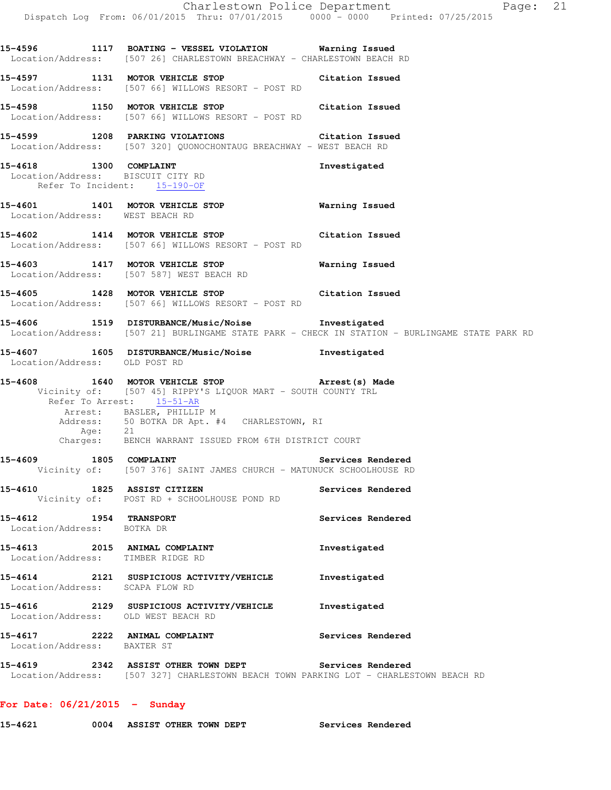**15-4596 1117 BOATING - VESSEL VIOLATION Warning Issued**  Location/Address: [507 26] CHARLESTOWN BREACHWAY - CHARLESTOWN BEACH RD **15-4597 1131 MOTOR VEHICLE STOP Citation Issued**  Location/Address: [507 66] WILLOWS RESORT - POST RD **15-4598 1150 MOTOR VEHICLE STOP Citation Issued**  Location/Address: [507 66] WILLOWS RESORT - POST RD **15-4599 1208 PARKING VIOLATIONS Citation Issued**  Location/Address: [507 320] QUONOCHONTAUG BREACHWAY - WEST BEACH RD **15-4618 1300 COMPLAINT Investigated**  Location/Address: BISCUIT CITY RD Refer To Incident: 15-190-OF **15-4601 1401 MOTOR VEHICLE STOP Warning Issued**  Location/Address: WEST BEACH RD **15-4602 1414 MOTOR VEHICLE STOP Citation Issued**  Location/Address: [507 66] WILLOWS RESORT - POST RD **15-4603 1417 MOTOR VEHICLE STOP Warning Issued**  Location/Address: [507 587] WEST BEACH RD **15-4605 1428 MOTOR VEHICLE STOP Citation Issued**  Location/Address: [507 66] WILLOWS RESORT - POST RD **15-4606 1519 DISTURBANCE/Music/Noise Investigated**  Location/Address: [507 21] BURLINGAME STATE PARK - CHECK IN STATION - BURLINGAME STATE PARK RD **15-4607 1605 DISTURBANCE/Music/Noise Investigated**  Location/Address: OLD POST RD **15-4608 1640 MOTOR VEHICLE STOP Arrest(s) Made**  Vicinity of: [507 45] RIPPY'S LIQUOR MART - SOUTH COUNTY TRL Refer To Arrest: 15-51-AR Arrest: BASLER, PHILLIP M Address: 50 BOTKA DR Apt. #4 CHARLESTOWN, RI Age: 21 Charges: BENCH WARRANT ISSUED FROM 6TH DISTRICT COURT 15-4609 1805 COMPLAINT **1808** Services Rendered Vicinity of: [507 376] SAINT JAMES CHURCH - MATUNUCK SCHOOLHOUSE RD **15-4610 1825 ASSIST CITIZEN Services Rendered**  Vicinity of: POST RD + SCHOOLHOUSE POND RD **15-4612 1954 TRANSPORT Services Rendered**  Location/Address: BOTKA DR **15-4613 2015 ANIMAL COMPLAINT Investigated**  Location/Address: TIMBER RIDGE RD **15-4614 2121 SUSPICIOUS ACTIVITY/VEHICLE Investigated**  Location/Address: SCAPA FLOW RD **15-4616 2129 SUSPICIOUS ACTIVITY/VEHICLE Investigated**  Location/Address: OLD WEST BEACH RD **15-4617 2222 ANIMAL COMPLAINT Services Rendered**  Location/Address: BAXTER ST **15-4619 2342 ASSIST OTHER TOWN DEPT Services Rendered**  Location/Address: [507 327] CHARLESTOWN BEACH TOWN PARKING LOT - CHARLESTOWN BEACH RD

### **For Date: 06/21/2015 - Sunday**

| 15-4621 | 0004 ASSIST OTHER TOWN DEPT |  |  | <b>Services Rendered</b> |
|---------|-----------------------------|--|--|--------------------------|
|         |                             |  |  |                          |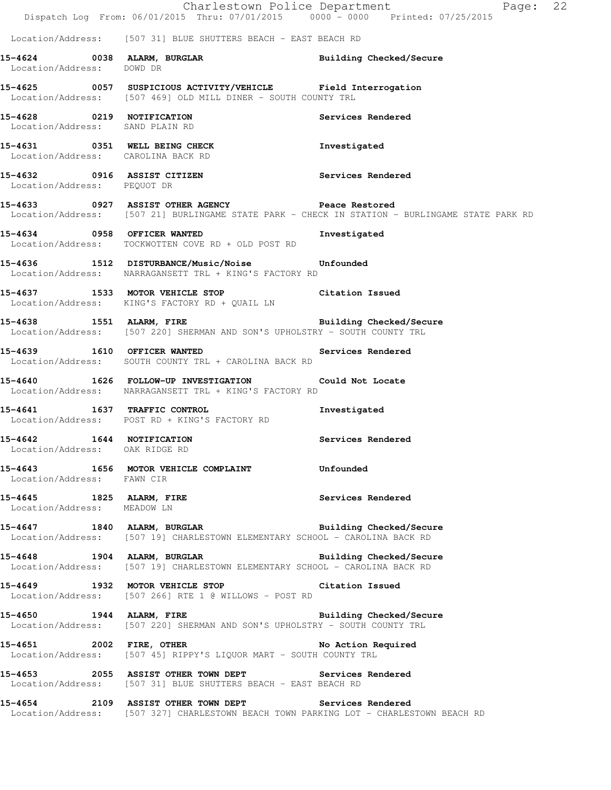|                                                                | Dispatch Log From: 06/01/2015 Thru: 07/01/2015 0000 - 0000 Printed: 07/25/2015                                                                 | Charlestown Police Department<br>Page: 22                                                                                                         |
|----------------------------------------------------------------|------------------------------------------------------------------------------------------------------------------------------------------------|---------------------------------------------------------------------------------------------------------------------------------------------------|
|                                                                | Location/Address: [507 31] BLUE SHUTTERS BEACH - EAST BEACH RD                                                                                 |                                                                                                                                                   |
| Location/Address: DOWD DR                                      | 15-4624 0038 ALARM, BURGLAR                                                                                                                    | Building Checked/Secure                                                                                                                           |
|                                                                | 15-4625 0057 SUSPICIOUS ACTIVITY/VEHICLE Field Interrogation<br>Location/Address: [507 469] OLD MILL DINER - SOUTH COUNTY TRL                  |                                                                                                                                                   |
| 15-4628 0219 NOTIFICATION<br>Location/Address: SAND PLAIN RD   |                                                                                                                                                | Services Rendered                                                                                                                                 |
| Location/Address: CAROLINA BACK RD                             | 15-4631 0351 WELL BEING CHECK                                                                                                                  | Investigated                                                                                                                                      |
| Location/Address: PEQUOT DR                                    | 15-4632 0916 ASSIST CITIZEN                                                                                                                    | Services Rendered                                                                                                                                 |
|                                                                |                                                                                                                                                | 15-4633 0927 ASSIST OTHER AGENCY Peace Restored<br>Location/Address: [507 21] BURLINGAME STATE PARK - CHECK IN STATION - BURLINGAME STATE PARK RD |
|                                                                | 15-4634 0958 OFFICER WANTED<br>Location/Address: TOCKWOTTEN COVE RD + OLD POST RD                                                              | Investigated                                                                                                                                      |
|                                                                | 15-4636 1512 DISTURBANCE/Music/Noise Unfounded<br>Location/Address: NARRAGANSETT TRL + KING'S FACTORY RD                                       |                                                                                                                                                   |
|                                                                | 15-4637 1533 MOTOR VEHICLE STOP Citation Issued<br>Location/Address: KING'S FACTORY RD + QUAIL LN                                              |                                                                                                                                                   |
|                                                                | 15-4638 1551 ALARM, FIRE 2008 and Building Checked/Secure<br>Location/Address: [507 220] SHERMAN AND SON'S UPHOLSTRY - SOUTH COUNTY TRL        |                                                                                                                                                   |
|                                                                | 15-4639 1610 OFFICER WANTED<br>Location/Address: SOUTH COUNTY TRL + CAROLINA BACK RD                                                           | Services Rendered                                                                                                                                 |
|                                                                | 15-4640 1626 FOLLOW-UP INVESTIGATION Could Not Locate<br>Location/Address: NARRAGANSETT TRL + KING'S FACTORY RD                                |                                                                                                                                                   |
|                                                                | 15-4641 1637 TRAFFIC CONTROL<br>Location/Address: POST RD + KING'S FACTORY RD                                                                  | Investigated                                                                                                                                      |
| 1644 NOTIFICATION<br>15-4642<br>Location/Address: OAK RIDGE RD |                                                                                                                                                | Services Rendered                                                                                                                                 |
| Location/Address: FAWN CIR                                     | 15-4643 1656 MOTOR VEHICLE COMPLAINT 5-4643 Unfounded                                                                                          |                                                                                                                                                   |
|                                                                | 15-4645 1825 ALARM, FIRE<br>Location/Address: MEADOW LN                                                                                        | Services Rendered                                                                                                                                 |
|                                                                | 15-4647 1840 ALARM, BURGLAR 1999 Building Checked/Secure<br>Location/Address: [507 19] CHARLESTOWN ELEMENTARY SCHOOL - CAROLINA BACK RD        |                                                                                                                                                   |
|                                                                | 15-4648 1904 ALARM, BURGLAR Number 2011 Building Checked/Secure<br>Location/Address: [507 19] CHARLESTOWN ELEMENTARY SCHOOL - CAROLINA BACK RD |                                                                                                                                                   |
|                                                                | 15-4649 1932 MOTOR VEHICLE STOP Citation Issued<br>Location/Address: [507 266] RTE 1 @ WILLOWS - POST RD                                       |                                                                                                                                                   |
|                                                                | 15-4650 1944 ALARM, FIRE 2008 and Building Checked/Secure<br>Location/Address: [507 220] SHERMAN AND SON'S UPHOLSTRY - SOUTH COUNTY TRL        |                                                                                                                                                   |
|                                                                | 15-4651 2002 FIRE, OTHER No Action Required<br>Location/Address: [507 45] RIPPY'S LIQUOR MART - SOUTH COUNTY TRL                               |                                                                                                                                                   |
|                                                                | 15-4653 2055 ASSIST OTHER TOWN DEPT Services Rendered<br>Location/Address: [507 31] BLUE SHUTTERS BEACH - EAST BEACH RD                        |                                                                                                                                                   |
|                                                                | 15-4654 2109 ASSIST OTHER TOWN DEPT Services Rendered<br>Location/Address: [507 327] CHARLESTOWN BEACH TOWN PARKING LOT - CHARLESTOWN BEACH RD |                                                                                                                                                   |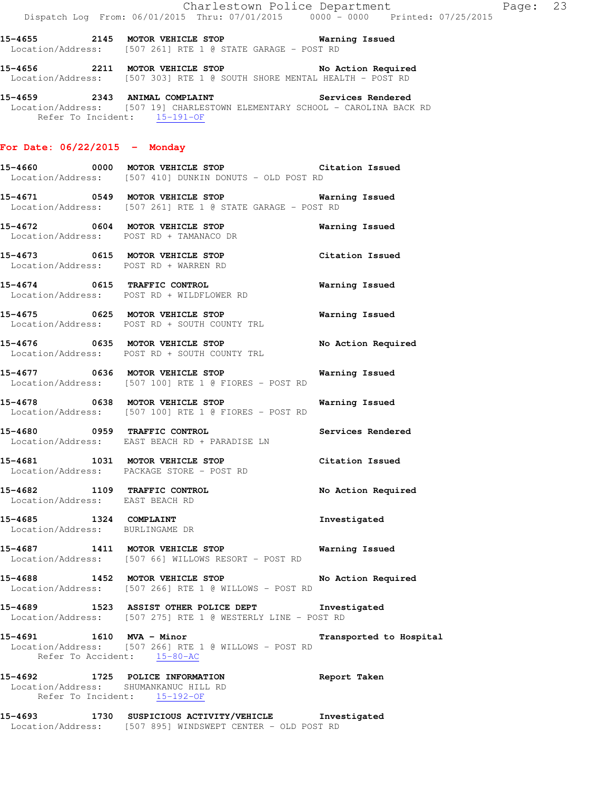**15-4655 2145 MOTOR VEHICLE STOP Warning Issued**  Location/Address: [507 261] RTE 1 @ STATE GARAGE - POST RD

**15-4656 2211 MOTOR VEHICLE STOP No Action Required**  Location/Address: [507 303] RTE 1 @ SOUTH SHORE MENTAL HEALTH - POST RD

**15-4659 2343 ANIMAL COMPLAINT Services Rendered**  Location/Address: [507 19] CHARLESTOWN ELEMENTARY SCHOOL - CAROLINA BACK RD Refer To Incident: 15-191-OF

#### **For Date: 06/22/2015 - Monday**

**15-4660 0000 MOTOR VEHICLE STOP Citation Issued**  Location/Address: [507 410] DUNKIN DONUTS - OLD POST RD

**15-4671 0549 MOTOR VEHICLE STOP Warning Issued**  Location/Address: [507 261] RTE 1 @ STATE GARAGE - POST RD

**15-4672 0604 MOTOR VEHICLE STOP Warning Issued**  Location/Address: POST RD + TAMANACO DR

**15-4673 0615 MOTOR VEHICLE STOP Citation Issued**  Location/Address: POST RD + WARREN RD

**15-4674 0615 TRAFFIC CONTROL Warning Issued**  Location/Address: POST RD + WILDFLOWER RD

**15-4675 0625 MOTOR VEHICLE STOP Warning Issued**  Location/Address: POST RD + SOUTH COUNTY TRL

**15-4676 0635 MOTOR VEHICLE STOP No Action Required**  Location/Address: POST RD + SOUTH COUNTY TRL

**15-4677 0636 MOTOR VEHICLE STOP Warning Issued**  Location/Address: [507 100] RTE 1 @ FIORES - POST RD

**15-4678 0638 MOTOR VEHICLE STOP Warning Issued**  Location/Address: [507 100] RTE 1 @ FIORES - POST RD

**15-4680 0959 TRAFFIC CONTROL Services Rendered**  Location/Address: EAST BEACH RD + PARADISE LN

**15-4681 1031 MOTOR VEHICLE STOP Citation Issued**  Location/Address: PACKAGE STORE - POST RD

15-4682 1109 TRAFFIC CONTROL **No Action Required** Location/Address: EAST BEACH RD

**15-4685 1324 COMPLAINT Investigated**  Location/Address: BURLINGAME DR

**15-4687 1411 MOTOR VEHICLE STOP Warning Issued**  Location/Address: [507 66] WILLOWS RESORT - POST RD

**15-4688 1452 MOTOR VEHICLE STOP No Action Required**  Location/Address: [507 266] RTE 1 @ WILLOWS - POST RD

**15-4689 1523 ASSIST OTHER POLICE DEPT Investigated**  Location/Address: [507 275] RTE 1 @ WESTERLY LINE - POST RD

**15-4691 1610 MVA - Minor Transported to Hospital**  Location/Address: [507 266] RTE 1 @ WILLOWS - POST RD Refer To Accident: 15-80-AC

**15-4692 1725 POLICE INFORMATION Report Taken**  Location/Address: SHUMANKANUC HILL RD Refer To Incident: 15-192-OF

**15-4693 1730 SUSPICIOUS ACTIVITY/VEHICLE Investigated**  Location/Address: [507 895] WINDSWEPT CENTER - OLD POST RD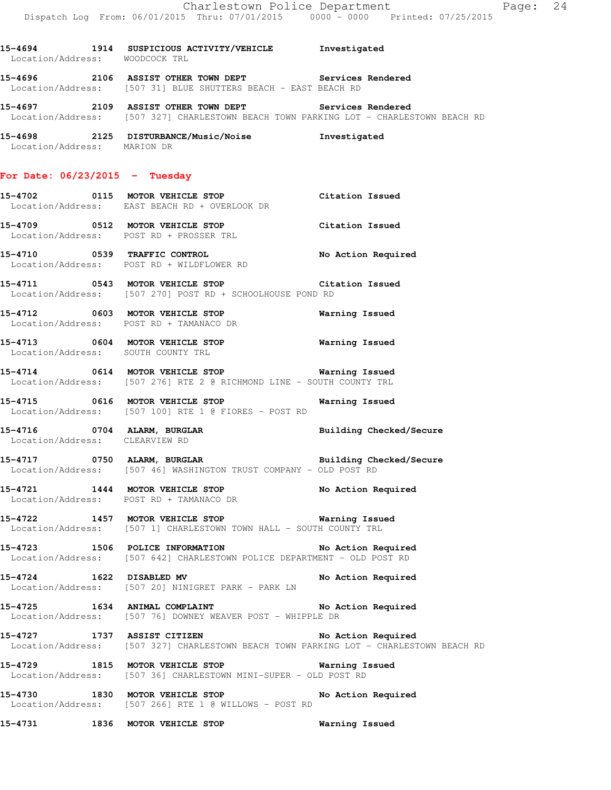**15-4694 1914 SUSPICIOUS ACTIVITY/VEHICLE Investigated**  Location/Address: WOODCOCK TRL **15-4696 2106 ASSIST OTHER TOWN DEPT Services Rendered** 

Location/Address: [507 31] BLUE SHUTTERS BEACH - EAST BEACH RD

**15-4697 2109 ASSIST OTHER TOWN DEPT Services Rendered**  Location/Address: [507 327] CHARLESTOWN BEACH TOWN PARKING LOT - CHARLESTOWN BEACH RD

**15-4698 2125 DISTURBANCE/Music/Noise Investigated**  Location/Address: MARION DR

#### **For Date: 06/23/2015 - Tuesday**

**15-4702 0115 MOTOR VEHICLE STOP Citation Issued**  Location/Address: EAST BEACH RD + OVERLOOK DR

**15-4709 0512 MOTOR VEHICLE STOP Citation Issued**  Location/Address: POST RD + PROSSER TRL

**15-4710 0539 TRAFFIC CONTROL No Action Required**  Location/Address: POST RD + WILDFLOWER RD

**15-4711 0543 MOTOR VEHICLE STOP Citation Issued**  Location/Address: [507 270] POST RD + SCHOOLHOUSE POND RD

**15-4712 0603 MOTOR VEHICLE STOP Warning Issued**  Location/Address: POST RD + TAMANACO DR

**15-4713 0604 MOTOR VEHICLE STOP Warning Issued**  Location/Address: SOUTH COUNTY TRL

**15-4714 0614 MOTOR VEHICLE STOP Warning Issued**  Location/Address: [507 276] RTE 2 @ RICHMOND LINE - SOUTH COUNTY TRL

**15-4715 0616 MOTOR VEHICLE STOP Warning Issued**  Location/Address: [507 100] RTE 1 @ FIORES - POST RD

**15-4716 0704 ALARM, BURGLAR Building Checked/Secure**  Location/Address: CLEARVIEW RD

**15-4717 0750 ALARM, BURGLAR Building Checked/Secure**  Location/Address: [507 46] WASHINGTON TRUST COMPANY - OLD POST RD

**15-4721 1444 MOTOR VEHICLE STOP No Action Required**  Location/Address: POST RD + TAMANACO DR

**15-4722 1457 MOTOR VEHICLE STOP Warning Issued**  Location/Address: [507 1] CHARLESTOWN TOWN HALL - SOUTH COUNTY TRL

**15-4723 1506 POLICE INFORMATION No Action Required**  Location/Address: [507 642] CHARLESTOWN POLICE DEPARTMENT - OLD POST RD

**15-4724 1622 DISABLED MV No Action Required**  Location/Address: [507 20] NINIGRET PARK - PARK LN

**15-4725 1634 ANIMAL COMPLAINT No Action Required**  Location/Address: [507 76] DOWNEY WEAVER POST - WHIPPLE DR

**15-4727 1737 ASSIST CITIZEN No Action Required**  Location/Address: [507 327] CHARLESTOWN BEACH TOWN PARKING LOT - CHARLESTOWN BEACH RD

**15-4729 1815 MOTOR VEHICLE STOP Warning Issued**  Location/Address: [507 36] CHARLESTOWN MINI-SUPER - OLD POST RD

**15-4730 1830 MOTOR VEHICLE STOP No Action Required**  Location/Address: [507 266] RTE 1 @ WILLOWS - POST RD

**15-4731 1836 MOTOR VEHICLE STOP Warning Issued**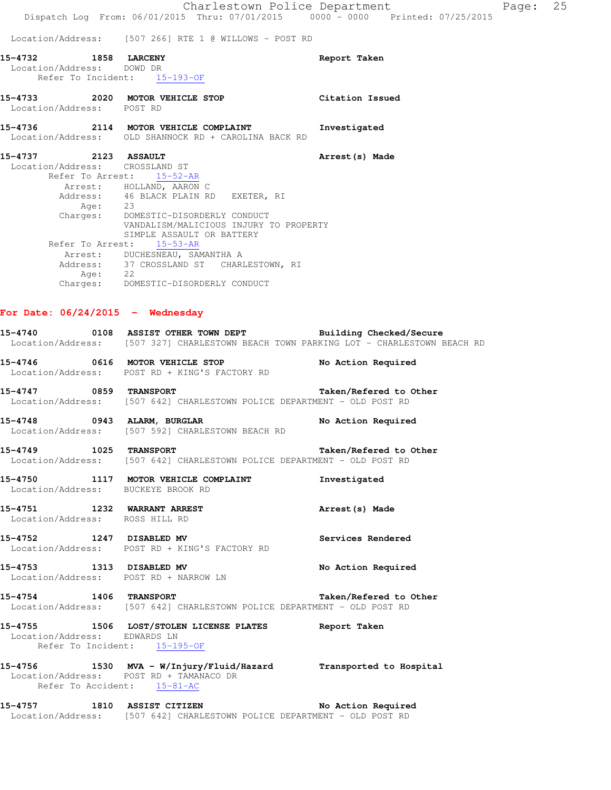|                                               | Location/Address: [507 266] RTE 1 @ WILLOWS - POST RD                                                                                                |                        |
|-----------------------------------------------|------------------------------------------------------------------------------------------------------------------------------------------------------|------------------------|
| 15-4732 1858 LARCENY                          |                                                                                                                                                      | Report Taken           |
| Location/Address: DOWD DR                     | Refer To Incident: 15-193-OF                                                                                                                         |                        |
|                                               | 15-4733 2020 MOTOR VEHICLE STOP Citation Issued                                                                                                      |                        |
| Location/Address: POST RD                     |                                                                                                                                                      |                        |
|                                               | 15-4736 2114 MOTOR VEHICLE COMPLAINT<br>Location/Address: OLD SHANNOCK RD + CAROLINA BACK RD                                                         | Investigated           |
| 15-4737 2123 ASSAULT                          |                                                                                                                                                      | Arrest (s) Made        |
| Location/Address: CROSSLAND ST                | Refer To Arrest: 15-52-AR                                                                                                                            |                        |
|                                               | Arrest: HOLLAND, AARON C                                                                                                                             |                        |
|                                               |                                                                                                                                                      |                        |
|                                               | Address: 46 BLACK PLAIN RD EXETER, RI<br>Age: 23                                                                                                     |                        |
|                                               | Charges: DOMESTIC-DISORDERLY CONDUCT                                                                                                                 |                        |
|                                               | VANDALISM/MALICIOUS INJURY TO PROPERTY<br>SIMPLE ASSAULT OR BATTERY                                                                                  |                        |
|                                               | Refer To Arrest: 15-53-AR                                                                                                                            |                        |
|                                               | Arrest: DUCHESNEAU, SAMANTHA A                                                                                                                       |                        |
|                                               | Address: 37 CROSSLAND ST CHARLESTOWN, RI                                                                                                             |                        |
|                                               | Age: 22<br>Charges: DOMESTIC-DISORDERLY CONDUCT                                                                                                      |                        |
|                                               |                                                                                                                                                      |                        |
| For Date: $06/24/2015$ - Wednesday            | 15-4740 0108 ASSIST OTHER TOWN DEPT Building Checked/Secure<br>Location/Address: [507 327] CHARLESTOWN BEACH TOWN PARKING LOT - CHARLESTOWN BEACH RD |                        |
|                                               | 15-4746 0616 MOTOR VEHICLE STOP<br>Location/Address: POST RD + KING'S FACTORY RD                                                                     | No Action Required     |
| 15-4747 0859 TRANSPORT                        | Location/Address: [507 642] CHARLESTOWN POLICE DEPARTMENT - OLD POST RD                                                                              | Taken/Refered to Other |
|                                               | 15-4748 0943 ALARM, BURGLAR<br>Location/Address: [507 592] CHARLESTOWN BEACH RD                                                                      | No Action Required     |
| 1025 TRANSPORT<br>15-4749                     | Location/Address: [507 642] CHARLESTOWN POLICE DEPARTMENT - OLD POST RD                                                                              | Taken/Refered to Other |
| 15-4750<br>Location/Address: BUCKEYE BROOK RD | 1117 MOTOR VEHICLE COMPLAINT                                                                                                                         | Investigated           |
| 15-4751<br>Location/Address: ROSS HILL RD     | 1232 WARRANT ARREST                                                                                                                                  | Arrest (s) Made        |
| 15-4752                                       | 1247 DISABLED MV<br>Location/Address: POST RD + KING'S FACTORY RD                                                                                    | Services Rendered      |
| 15-4753                                       | 1313 DISABLED MV                                                                                                                                     | No Action Required     |

**15-4754 1406 TRANSPORT Taken/Refered to Other**  Location/Address: [507 642] CHARLESTOWN POLICE DEPARTMENT - OLD POST RD

### **15-4755 1506 LOST/STOLEN LICENSE PLATES Report Taken**  Location/Address: EDWARDS LN Refer To Incident: 15-195-OF

Location/Address: POST RD + NARROW LN

**15-4756 1530 MVA - W/Injury/Fluid/Hazard Transported to Hospital**  Location/Address: POST RD + TAMANACO DR Refer To Accident: 15-81-AC

**15-4757 1810 ASSIST CITIZEN No Action Required**  Location/Address: [507 642] CHARLESTOWN POLICE DEPARTMENT - OLD POST RD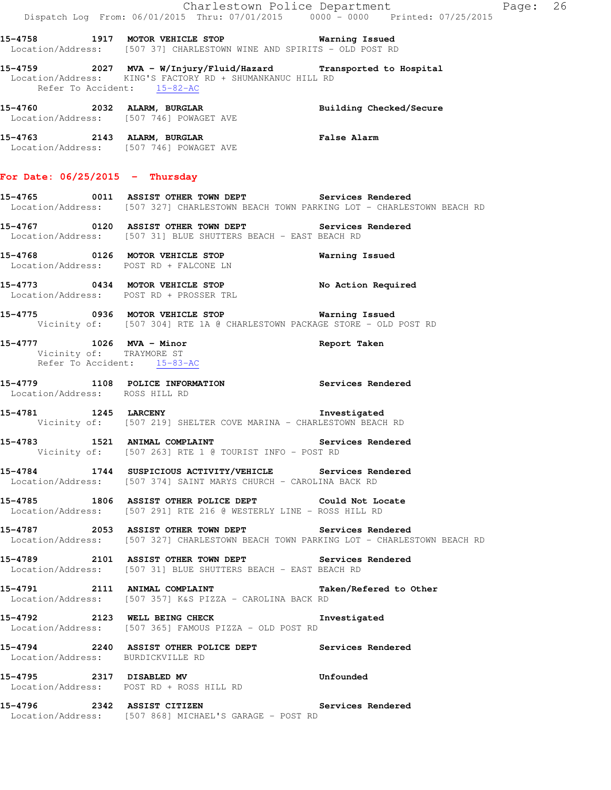|                                                                                     | Dispatch Log From: 06/01/2015 Thru: 07/01/2015 0000 - 0000 Printed: 07/25/2015                                                                 | Charlestown Police Department<br>Page: 26 |
|-------------------------------------------------------------------------------------|------------------------------------------------------------------------------------------------------------------------------------------------|-------------------------------------------|
|                                                                                     | 15-4758 1917 MOTOR VEHICLE STOP <b>Warning Issued</b><br>Location/Address: [507 37] CHARLESTOWN WINE AND SPIRITS - OLD POST RD                 |                                           |
| Refer To Accident: 15-82-AC                                                         | 15-4759 		 2027 MVA - W/Injury/Fluid/Hazard 		 Transported to Hospital<br>Location/Address: KING'S FACTORY RD + SHUMANKANUC HILL RD            |                                           |
|                                                                                     | 15-4760 2032 ALARM, BURGLAR<br>Location/Address: [507 746] POWAGET AVE                                                                         | Building Checked/Secure                   |
|                                                                                     | 15-4763 2143 ALARM, BURGLAR<br>Location/Address: [507 746] POWAGET AVE                                                                         | <b>False Alarm</b>                        |
| For Date: $06/25/2015$ - Thursday                                                   |                                                                                                                                                |                                           |
|                                                                                     | 15-4765 0011 ASSIST OTHER TOWN DEPT Services Rendered<br>Location/Address: [507 327] CHARLESTOWN BEACH TOWN PARKING LOT - CHARLESTOWN BEACH RD |                                           |
|                                                                                     | 15-4767   0120   ASSIST OTHER TOWN DEPT   Services Rendered<br>Location/Address: [507 31] BLUE SHUTTERS BEACH - EAST BEACH RD                  |                                           |
| Location/Address: POST RD + FALCONE LN                                              | 15-4768 0126 MOTOR VEHICLE STOP                                                                                                                | Warning Issued                            |
|                                                                                     | 15-4773 0434 MOTOR VEHICLE STOP No Action Required<br>Location/Address: POST RD + PROSSER TRL                                                  |                                           |
|                                                                                     | 15-4775 0936 MOTOR VEHICLE STOP <b>Warning Issued</b><br>Vicinity of: [507 304] RTE 1A @ CHARLESTOWN PACKAGE STORE - OLD POST RD               |                                           |
| 15-4777 1026 MVA - Minor<br>Vicinity of: TRAYMORE ST<br>Refer To Accident: 15-83-AC |                                                                                                                                                | Report Taken                              |
| Location/Address: ROSS HILL RD                                                      | 15-4779 1108 POLICE INFORMATION Services Rendered                                                                                              |                                           |
|                                                                                     | 15-4781 1245 LARCENY<br>Vicinity of: [507 219] SHELTER COVE MARINA - CHARLESTOWN BEACH RD                                                      | Investigated                              |
|                                                                                     | 15-4783 1521 ANIMAL COMPLAINT<br>Vicinity of: [507 263] RTE 1 @ TOURIST INFO - POST RD                                                         | Services Rendered                         |
|                                                                                     | 15-4784 1744 SUSPICIOUS ACTIVITY/VEHICLE Services Rendered<br>Location/Address: [507 374] SAINT MARYS CHURCH - CAROLINA BACK RD                |                                           |
|                                                                                     | 15-4785 1806 ASSIST OTHER POLICE DEPT Could Not Locate<br>Location/Address: [507 291] RTE 216 @ WESTERLY LINE - ROSS HILL RD                   |                                           |
|                                                                                     | 15-4787 2053 ASSIST OTHER TOWN DEPT Services Rendered<br>Location/Address: [507 327] CHARLESTOWN BEACH TOWN PARKING LOT - CHARLESTOWN BEACH RD |                                           |
|                                                                                     | 15-4789 2101 ASSIST OTHER TOWN DEPT Services Rendered<br>Location/Address: [507 31] BLUE SHUTTERS BEACH - EAST BEACH RD                        |                                           |
|                                                                                     | 15-4791 2111 ANIMAL COMPLAINT<br>Location/Address: [507 357] K&S PIZZA - CAROLINA BACK RD                                                      | Taken/Refered to Other                    |
|                                                                                     | 15-4792 2123 WELL BEING CHECK Threstigated<br>Location/Address: [507 365] FAMOUS PIZZA - OLD POST RD                                           |                                           |
| Location/Address: BURDICKVILLE RD                                                   | 15-4794 2240 ASSIST OTHER POLICE DEPT Services Rendered                                                                                        |                                           |
|                                                                                     | 15-4795 2317 DISABLED MV                                                                                                                       | Unfounded                                 |
|                                                                                     | Location/Address: POST RD + ROSS HILL RD                                                                                                       |                                           |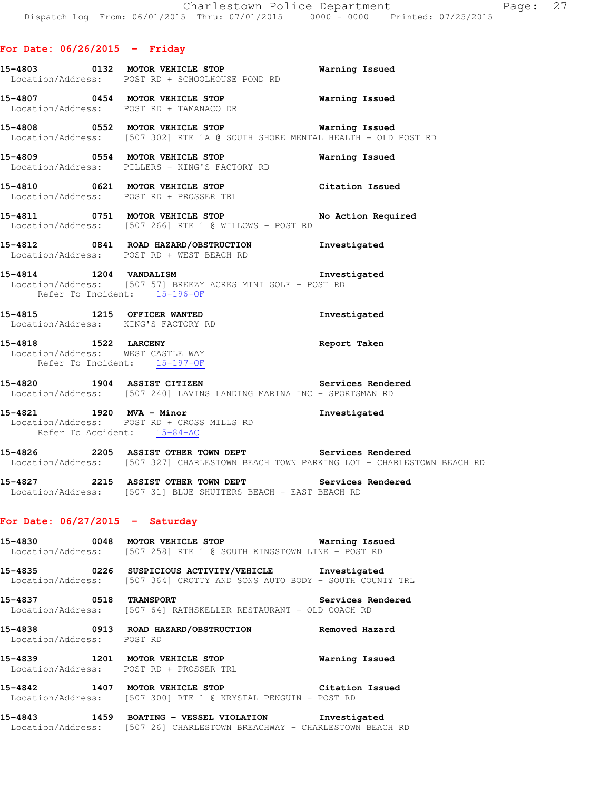#### **For Date: 06/26/2015 - Friday**

- **15-4803 0132 MOTOR VEHICLE STOP Warning Issued**  Location/Address: POST RD + SCHOOLHOUSE POND RD
- **15-4807 0454 MOTOR VEHICLE STOP Warning Issued**  Location/Address: POST RD + TAMANACO DR
- **15-4808 0552 MOTOR VEHICLE STOP Warning Issued**  Location/Address: [507 302] RTE 1A @ SOUTH SHORE MENTAL HEALTH - OLD POST RD
- **15-4809 0554 MOTOR VEHICLE STOP Warning Issued**  Location/Address: PILLERS - KING'S FACTORY RD
- **15-4810 0621 MOTOR VEHICLE STOP Citation Issued**  Location/Address: POST RD + PROSSER TRL
- **15-4811 0751 MOTOR VEHICLE STOP No Action Required**  Location/Address: [507 266] RTE 1 @ WILLOWS - POST RD
- **15-4812 0841 ROAD HAZARD/OBSTRUCTION Investigated**  Location/Address: POST RD + WEST BEACH RD
- **15-4814 1204 VANDALISM Investigated**  Location/Address: [507 57] BREEZY ACRES MINI GOLF - POST RD Refer To Incident: 15-196-OF
- **15-4815 1215 OFFICER WANTED Investigated**  Location/Address: KING'S FACTORY RD
- **15-4818 1522 LARCENY Report Taken**  Location/Address: WEST CASTLE WAY Refer To Incident: 15-197-OF
- **15-4820 1904 ASSIST CITIZEN Services Rendered**  Location/Address: [507 240] LAVINS LANDING MARINA INC - SPORTSMAN RD
- **15-4821 1920 MVA Minor Investigated**  Location/Address: POST RD + CROSS MILLS RD Refer To Accident: 15-84-AC
- **15-4826 2205 ASSIST OTHER TOWN DEPT Services Rendered**  Location/Address: [507 327] CHARLESTOWN BEACH TOWN PARKING LOT - CHARLESTOWN BEACH RD
- **15-4827 2215 ASSIST OTHER TOWN DEPT Services Rendered**  Location/Address: [507 31] BLUE SHUTTERS BEACH - EAST BEACH RD

### **For Date: 06/27/2015 - Saturday**

- **15-4830 0048 MOTOR VEHICLE STOP Warning Issued**  Location/Address: [507 258] RTE 1 @ SOUTH KINGSTOWN LINE - POST RD
- **15-4835 0226 SUSPICIOUS ACTIVITY/VEHICLE Investigated**  Location/Address: [507 364] CROTTY AND SONS AUTO BODY - SOUTH COUNTY TRL
- **15-4837 0518 TRANSPORT Services Rendered**  Location/Address: [507 64] RATHSKELLER RESTAURANT - OLD COACH RD
- **15-4838 0913 ROAD HAZARD/OBSTRUCTION Removed Hazard**  Location/Address: POST RD
- **15-4839 1201 MOTOR VEHICLE STOP Warning Issued**  Location/Address: POST RD + PROSSER TRL
- **15-4842 1407 MOTOR VEHICLE STOP Citation Issued**  Location/Address: [507 300] RTE 1 @ KRYSTAL PENGUIN - POST RD
- **15-4843 1459 BOATING VESSEL VIOLATION Investigated**  Location/Address: [507 26] CHARLESTOWN BREACHWAY - CHARLESTOWN BEACH RD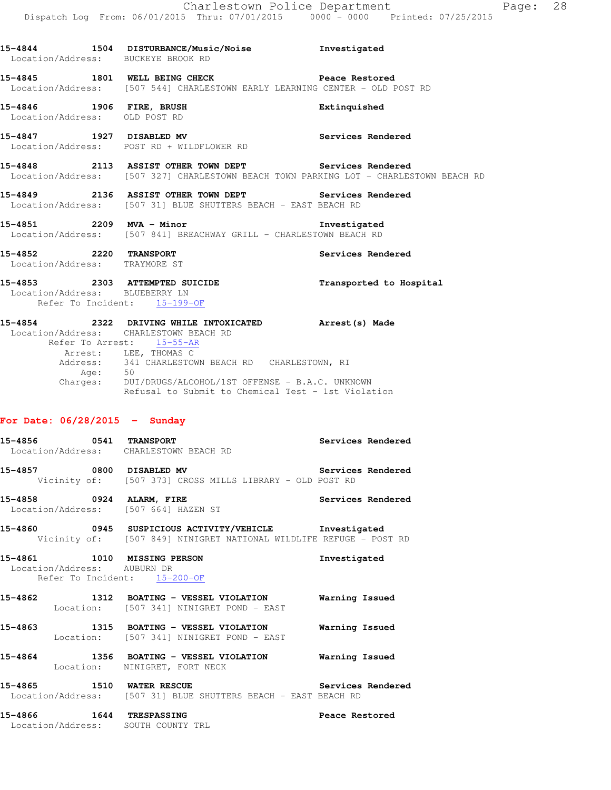|                                 | 15-4844 1504 DISTURBANCE/Music/Noise Investigated<br>Location/Address: BUCKEYE BROOK RD                                                                                                                                                                                                                                                 |                         |
|---------------------------------|-----------------------------------------------------------------------------------------------------------------------------------------------------------------------------------------------------------------------------------------------------------------------------------------------------------------------------------------|-------------------------|
|                                 | 15-4845 1801 WELL BEING CHECK Peace Restored<br>Location/Address: [507 544] CHARLESTOWN EARLY LEARNING CENTER - OLD POST RD                                                                                                                                                                                                             |                         |
| Location/Address: OLD POST RD   | 15-4846 1906 FIRE, BRUSH                                                                                                                                                                                                                                                                                                                | Extinquished            |
|                                 | 15-4847 1927 DISABLED MV<br>Location/Address: POST RD + WILDFLOWER RD                                                                                                                                                                                                                                                                   | Services Rendered       |
|                                 | 15-4848 2113 ASSIST OTHER TOWN DEPT Services Rendered<br>Location/Address: [507 327] CHARLESTOWN BEACH TOWN PARKING LOT - CHARLESTOWN BEACH RD                                                                                                                                                                                          |                         |
|                                 | 15-4849 2136 ASSIST OTHER TOWN DEPT Services Rendered<br>Location/Address: [507 31] BLUE SHUTTERS BEACH - EAST BEACH RD                                                                                                                                                                                                                 |                         |
|                                 | 15-4851 2209 MVA - Minor 2008 2009 2009 MVA - Minor<br>Location/Address: [507 841] BREACHWAY GRILL - CHARLESTOWN BEACH RD                                                                                                                                                                                                               |                         |
| 15-4852 2220 TRANSPORT          | Location/Address: TRAYMORE ST                                                                                                                                                                                                                                                                                                           | Services Rendered       |
|                                 | 15-4853 2303 ATTEMPTED SUICIDE<br>Location/Address: BLUEBERRY LN<br>Refer To Incident: 15-199-OF                                                                                                                                                                                                                                        | Transported to Hospital |
|                                 | 15-4854 2322 DRIVING WHILE INTOXICATED Arrest (s) Made<br>Location/Address: CHARLESTOWN BEACH RD<br>Refer To Arrest: 15-55-AR<br>Arrest: LEE, THOMAS C<br>Address: 341 CHARLESTOWN BEACH RD CHARLESTOWN, RI<br>Age: 50<br>Charges: DUI/DRUGS/ALCOHOL/1ST OFFENSE - B.A.C. UNKNOWN<br>Refusal to Submit to Chemical Test - 1st Violation |                         |
| For Date: $06/28/2015$ - Sunday |                                                                                                                                                                                                                                                                                                                                         |                         |
|                                 | 15-4856 0541 TRANSPORT<br>Location/Address: CHARLESTOWN BEACH RD                                                                                                                                                                                                                                                                        | Services Rendered       |
|                                 | 15-4857 0800 DISABLED MV<br>Vicinity of: [507 373] CROSS MILLS LIBRARY - OLD POST RD                                                                                                                                                                                                                                                    | Services Rendered       |
| 15-4858                         | 0924 ALARM, FIRE<br>Location/Address: [507 664] HAZEN ST                                                                                                                                                                                                                                                                                | Services Rendered       |
|                                 | 15-4860 0945 SUSPICIOUS ACTIVITY/VEHICLE Investigated<br>Vicinity of: [507 849] NINIGRET NATIONAL WILDLIFE REFUGE - POST RD                                                                                                                                                                                                             |                         |
| Location/Address: AUBURN DR     | 15-4861 1010 MISSING PERSON<br>Refer To Incident: 15-200-OF                                                                                                                                                                                                                                                                             | Investigated            |
| 15-4862                         | 1312 BOATING - VESSEL VIOLATION 6 Warning Issued<br>Location: [507 341] NINIGRET POND - EAST                                                                                                                                                                                                                                            |                         |
|                                 | 15-4863 1315 BOATING - VESSEL VIOLATION Warning Issued                                                                                                                                                                                                                                                                                  |                         |

**15-4864 1356 BOATING - VESSEL VIOLATION Warning Issued**  Location: NINIGRET, FORT NECK

Location: [507 341] NINIGRET POND - EAST

15-4865 1510 WATER RESCUE **15-4865** Services Rendered Location/Address: [507 31] BLUE SHUTTERS BEACH - EAST BEACH RD

**15-4866 1644 TRESPASSING Peace Restored**  Location/Address: SOUTH COUNTY TRL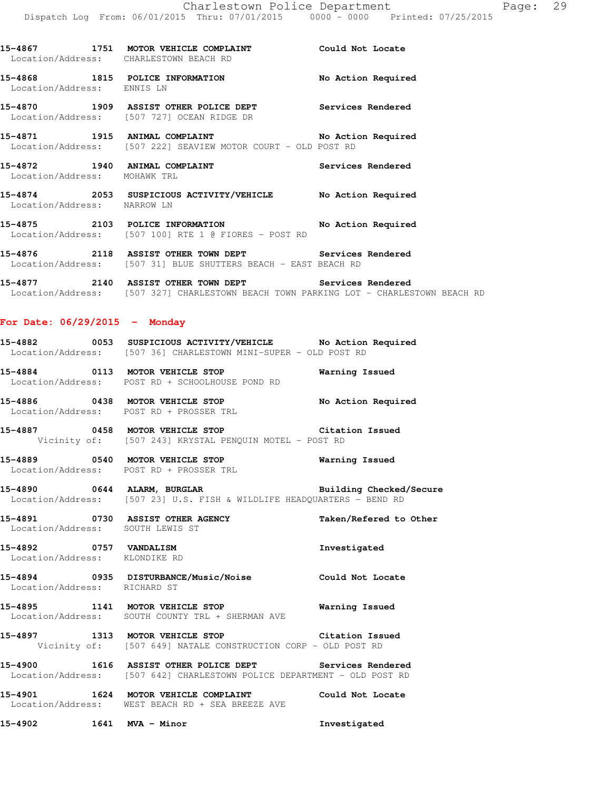**15-4868 1815 POLICE INFORMATION No Action Required**  Location/Address: ENNIS LN **15-4870 1909 ASSIST OTHER POLICE DEPT Services Rendered**  Location/Address: [507 727] OCEAN RIDGE DR **15-4871 1915 ANIMAL COMPLAINT No Action Required**  Location/Address: [507 222] SEAVIEW MOTOR COURT - OLD POST RD 15-4872 1940 ANIMAL COMPLAINT **15-4872** Services Rendered Location/Address: MOHAWK TRL **15-4874 2053 SUSPICIOUS ACTIVITY/VEHICLE No Action Required**  Location/Address: NARROW LN **15-4875 2103 POLICE INFORMATION No Action Required**  Location/Address: [507 100] RTE 1 @ FIORES - POST RD **15-4876 2118 ASSIST OTHER TOWN DEPT Services Rendered**  Location/Address: [507 31] BLUE SHUTTERS BEACH - EAST BEACH RD **15-4877 2140 ASSIST OTHER TOWN DEPT Services Rendered**  Location/Address: [507 327] CHARLESTOWN BEACH TOWN PARKING LOT - CHARLESTOWN BEACH RD

**15-4867 1751 MOTOR VEHICLE COMPLAINT Could Not Locate** 

## **For Date: 06/29/2015 - Monday**

Location/Address: CHARLESTOWN BEACH RD

| 15-4882           |  | 0053 SUSPICIOUS ACTIVITY/VEHICLE              |  |  | No Action Required |
|-------------------|--|-----------------------------------------------|--|--|--------------------|
| Location/Address: |  | [507 36] CHARLESTOWN MINI-SUPER - OLD POST RD |  |  |                    |

**15-4884 0113 MOTOR VEHICLE STOP Warning Issued**  Location/Address: POST RD + SCHOOLHOUSE POND RD

**15-4886 0438 MOTOR VEHICLE STOP No Action Required**  Location/Address: POST RD + PROSSER TRL

**15-4887 0458 MOTOR VEHICLE STOP Citation Issued**  Vicinity of: [507 243] KRYSTAL PENQUIN MOTEL - POST RD

**15-4889 0540 MOTOR VEHICLE STOP Warning Issued**  Location/Address: POST RD + PROSSER TRL

**15-4890 0644 ALARM, BURGLAR Building Checked/Secure**  Location/Address: [507 23] U.S. FISH & WILDLIFE HEADQUARTERS - BEND RD

**15-4891 0730 ASSIST OTHER AGENCY Taken/Refered to Other**  Location/Address: SOUTH LEWIS ST

**15-4892 0757 VANDALISM Investigated**  Location/Address: KLONDIKE RD

**15-4894 0935 DISTURBANCE/Music/Noise Could Not Locate**  Location/Address: RICHARD ST

**15-4895 1141 MOTOR VEHICLE STOP Warning Issued**  Location/Address: SOUTH COUNTY TRL + SHERMAN AVE

**15-4897 1313 MOTOR VEHICLE STOP Citation Issued**  Vicinity of: [507 649] NATALE CONSTRUCTION CORP - OLD POST RD

**15-4900 1616 ASSIST OTHER POLICE DEPT Services Rendered**  Location/Address: [507 642] CHARLESTOWN POLICE DEPARTMENT - OLD POST RD

**15-4901 1624 MOTOR VEHICLE COMPLAINT Could Not Locate**  Location/Address: WEST BEACH RD + SEA BREEZE AVE

**15-4902 1641 MVA - Minor Investigated**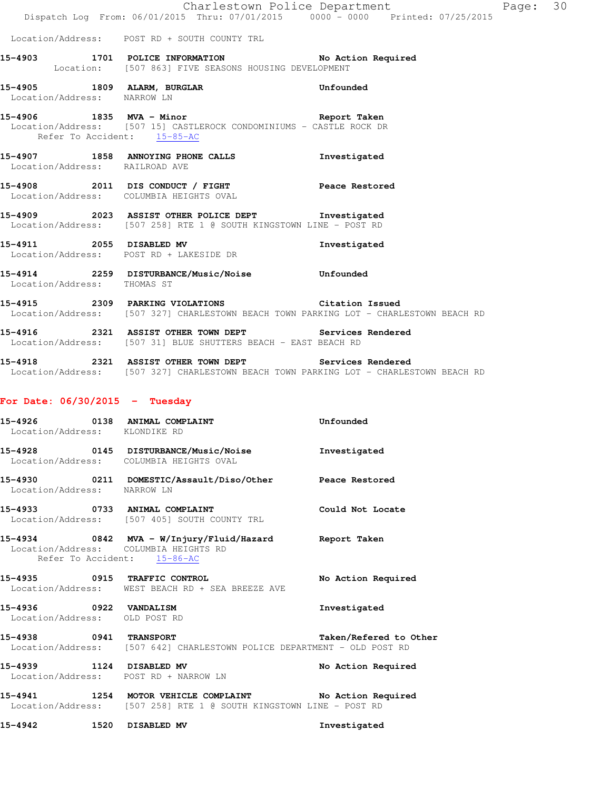|                                |                                                                                                                                          | Charlestown Police Department | Page: 30 |  |
|--------------------------------|------------------------------------------------------------------------------------------------------------------------------------------|-------------------------------|----------|--|
|                                | Dispatch Log From: 06/01/2015 Thru: 07/01/2015 0000 - 0000 Printed: 07/25/2015                                                           |                               |          |  |
|                                | Location/Address: POST RD + SOUTH COUNTY TRL                                                                                             |                               |          |  |
|                                | 15-4903 1701 POLICE INFORMATION No Action Required<br>Location: [507 863] FIVE SEASONS HOUSING DEVELOPMENT                               |                               |          |  |
| Location/Address: NARROW LN    | 15-4905 1809 ALARM, BURGLAR                                                                                                              | Unfounded                     |          |  |
| Refer To Accident: 15-85-AC    | 15-4906 1835 MVA - Minor Changes of Report Taken<br>Location/Address: [507 15] CASTLEROCK CONDOMINIUMS - CASTLE ROCK DR                  |                               |          |  |
| Location/Address: RAILROAD AVE | 15-4907 1858 ANNOYING PHONE CALLS 1nvestigated                                                                                           |                               |          |  |
|                                | 15-4908 2011 DIS CONDUCT / FIGHT Peace Restored<br>Location/Address: COLUMBIA HEIGHTS OVAL                                               |                               |          |  |
|                                | 15-4909 2023 ASSIST OTHER POLICE DEPT Threstigated<br>Location/Address: [507 258] RTE 1 @ SOUTH KINGSTOWN LINE - POST RD                 |                               |          |  |
|                                | 15-4911 2055 DISABLED MV<br>Location/Address: POST RD + LAKESIDE DR                                                                      | Investigated                  |          |  |
| Location/Address: THOMAS ST    | 15-4914 2259 DISTURBANCE/Music/Noise Unfounded                                                                                           |                               |          |  |
|                                | 15-4915 2309 PARKING VIOLATIONS Citation Issued<br>Location/Address: [507 327] CHARLESTOWN BEACH TOWN PARKING LOT - CHARLESTOWN BEACH RD |                               |          |  |
|                                | 15-4916 			 2321 ASSIST OTHER TOWN DEPT Services Rendered<br>Location/Address: [507 31] BLUE SHUTTERS BEACH - EAST BEACH RD              |                               |          |  |
|                                | 15-4918 2321 ASSIST OTHER TOWN DEPT                                                                                                      | Services Rendered             |          |  |

Location/Address: [507 327] CHARLESTOWN BEACH TOWN PARKING LOT - CHARLESTOWN BEACH RD

# **For Date: 06/30/2015 - Tuesday**

| Location/Address: KLONDIKE RD                           | 15-4926 0138 ANIMAL COMPLAINT                                                                                                 | Unfounded              |  |  |
|---------------------------------------------------------|-------------------------------------------------------------------------------------------------------------------------------|------------------------|--|--|
|                                                         | 15-4928 0145 DISTURBANCE/Music/Noise<br>Location/Address: COLUMBIA HEIGHTS OVAL                                               | Investigated           |  |  |
| Location/Address: NARROW LN                             | 15-4930 0211 DOMESTIC/Assault/Diso/Other Peace Restored                                                                       |                        |  |  |
|                                                         | 15-4933 		 0733 ANIMAL COMPLAINT 		 Could Not Locate<br>Location/Address: [507 405] SOUTH COUNTY TRL                          |                        |  |  |
|                                                         | 15-4934 0842 MVA - W/Injury/Fluid/Hazard Report Taken<br>Location/Address: COLUMBIA HEIGHTS RD<br>Refer To Accident: 15-86-AC |                        |  |  |
|                                                         | 15-4935 0915 TRAFFIC CONTROL<br>Location/Address: WEST BEACH RD + SEA BREEZE AVE                                              | No Action Required     |  |  |
| 15-4936 0922 VANDALISM<br>Location/Address: OLD POST RD |                                                                                                                               | Investigated           |  |  |
|                                                         | 15-4938 0941 TRANSPORT<br>Location/Address: [507 642] CHARLESTOWN POLICE DEPARTMENT - OLD POST RD                             | Taken/Refered to Other |  |  |
|                                                         | 15-4939 1124 DISABLED MV<br>Location/Address: POST RD + NARROW LN                                                             | No Action Required     |  |  |
|                                                         | 15-4941 1254 MOTOR VEHICLE COMPLAINT No Action Required<br>Location/Address: [507 258] RTE 1 @ SOUTH KINGSTOWN LINE - POST RD |                        |  |  |
| 15-4942                                                 | 1520 DISABLED MV                                                                                                              | Investigated           |  |  |